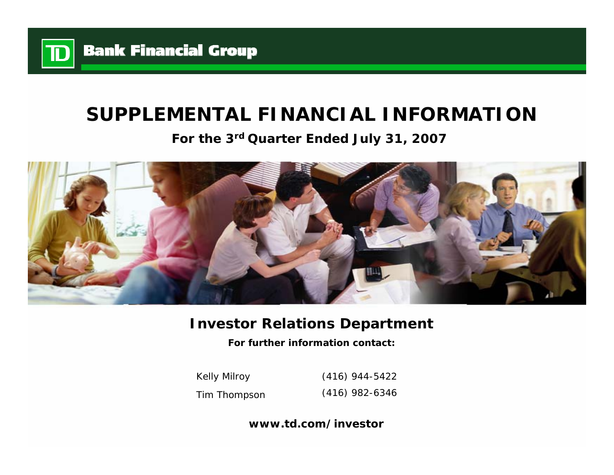

# **SUPPLEMENTAL FINANCIAL INFORMATION**

**For the 3rd Quarter Ended July 31, 2007**



# **Investor Relations Department**

**For further information contact:**

Kelly Milroy Tim Thompson (416) 944-5422 (416) 982-6346

**www.td.com/investor**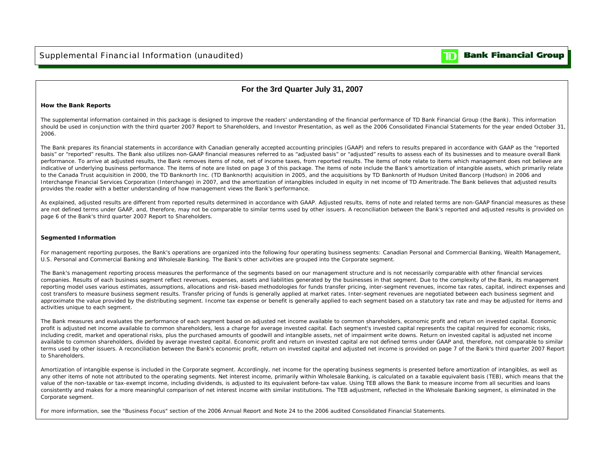

### **For the 3rd Quarter July 31, 2007**

### **How the Bank Reports**

The supplemental information contained in this package is designed to improve the readers' understanding of the financial performance of TD Bank Financial Group (the Bank). This information should be used in conjunction with the third quarter 2007 Report to Shareholders, and Investor Presentation, as well as the 2006 Consolidated Financial Statements for the year ended October 31, 2006.

The Bank prepares its financial statements in accordance with Canadian generally accepted accounting principles (GAAP) and refers to results prepared in accordance with GAAP as the "reported basis" or "reported" results. The Bank also utilizes non-GAAP financial measures referred to as "adjusted basis" or "adjusted" results to assess each of its businesses and to measure overall Bank performance. To arrive at adjusted results, the Bank removes items of note, net of income taxes, from reported results. The items of note relate to items which management does not believe are indicative of underlying business performance. The items of note are listed on page 3 of this package. The items of note include the Bank's amortization of intangible assets, which primarily relate to the Canada Trust acquisition in 2000, the TD Banknorth Inc. (TD Banknorth) acquisition in 2005, and the acquisitions by TD Banknorth of Hudson United Bancorp (Hudson) in 2006 and Interchange Financial Services Corporation (Interchange) in 2007, and the amortization of intangibles included in equity in net income of TD Ameritrade. The Bank believes that adjusted results provides the reader with a better understanding of how management views the Bank's performance.

As explained, adjusted results are different from reported results determined in accordance with GAAP. Adjusted results, items of note and related terms are non-GAAP financial measures as these are not defined terms under GAAP, and, therefore, may not be comparable to similar terms used by other issuers. A reconciliation between the Bank's reported and adjusted results is provided on page 6 of the Bank's third quarter 2007 Report to Shareholders.

### **Segmented Information**

For management reporting purposes, the Bank's operations are organized into the following four operating business segments: Canadian Personal and Commercial Banking, Wealth Management, U.S. Personal and Commercial Banking and Wholesale Banking. The Bank's other activities are grouped into the Corporate segment.

The Bank's management reporting process measures the performance of the segments based on our management structure and is not necessarily comparable with other financial services companies. Results of each business segment reflect revenues, expenses, assets and liabilities generated by the businesses in that segment. Due to the complexity of the Bank, its management reporting model uses various estimates, assumptions, allocations and risk-based methodologies for funds transfer pricing, inter-segment revenues, income tax rates, capital, indirect expenses and cost transfers to measure business segment results. Transfer pricing of funds is generally applied at market rates. Inter-segment revenues are negotiated between each business segment and approximate the value provided by the distributing segment. Income tax expense or benefit is generally applied to each segment based on a statutory tax rate and may be adjusted for items and activities unique to each segment.

The Bank measures and evaluates the performance of each segment based on adjusted net income available to common shareholders, economic profit and return on invested capital. Economic profit is adjusted net income available to common shareholders, less a charge for average invested capital. Each segment's invested capital represents the capital required for economic risks, including credit, market and operational risks, plus the purchased amounts of goodwill and intangible assets, net of impairment write downs. Return on invested capital is adjusted net income available to common shareholders, divided by average invested capital. Economic profit and return on invested capital are not defined terms under GAAP and, therefore, not comparable to similar terms used by other issuers. A reconciliation between the Bank's economic profit, return on invested capital and adjusted net income is provided on page 7 of the Bank's third quarter 2007 Report to Shareholders.

Amortization of intangible expense is included in the Corporate segment. Accordingly, net income for the operating business segments is presented before amortization of intangibles, as well as any other items of note not attributed to the operating segments. Net interest income, primarily within Wholesale Banking, is calculated on a taxable equivalent basis (TEB), which means that the value of the non-taxable or tax-exempt income, including dividends, is adjusted to its equivalent before-tax value. Using TEB allows the Bank to measure income from all securities and loans consistently and makes for a more meaningful comparison of net interest income with similar institutions. The TEB adjustment, reflected in the Wholesale Banking segment, is eliminated in the Corporate segment.

For more information, see the "Business Focus" section of the 2006 Annual Report and Note 24 to the 2006 audited Consolidated Financial Statements.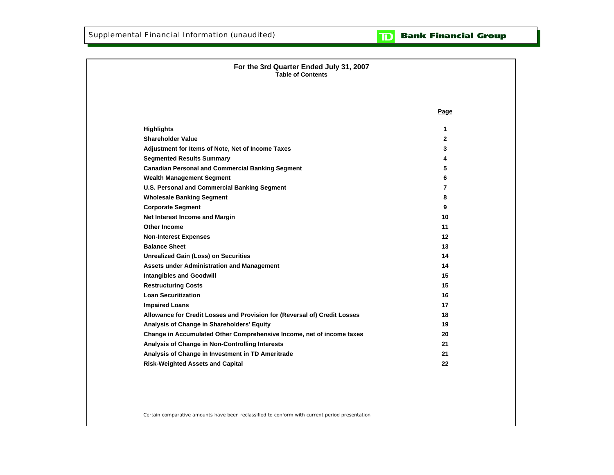

# **For the 3rd Quarter Ended July 31, 2007 Table of ContentsPage Highlights 1 Shareholder Value 2 Adjustment for Items of Note, Net of Income Taxes 3 Segmented Results Summary 4 Canadian Personal and Commercial Banking Segment 5 Wealth Management Segment 6 U.S. Personal and Commercial Banking Segment 7 Wholesale Banking Segment 8 Corporate Segment 9 Net Interest Income and Margin 10 Other Income 11 Non-Interest Expenses 12 Balance Sheet 13Unrealized Gain (Loss) on Securities 14 Assets under Administration and Management 14 Intangibles and Goodwill 15 Restructuring Costs 15 Loan Securitization 16 Impaired Loans 17 Allowance for Credit Losses and Provision for (Reversal of) Credit Losses 18 Analysis of Change in Shareholders' Equity 19 Change in Accumulated Other Comprehensive Income, net of income taxes 20 Analysis of Change in Non-Controlling Interests 21 Analysis of Change in Investment in TD Ameritrade 21 Risk-Weighted Assets and Capital 22**

Certain comparative amounts have been reclassified to conform with current period presentation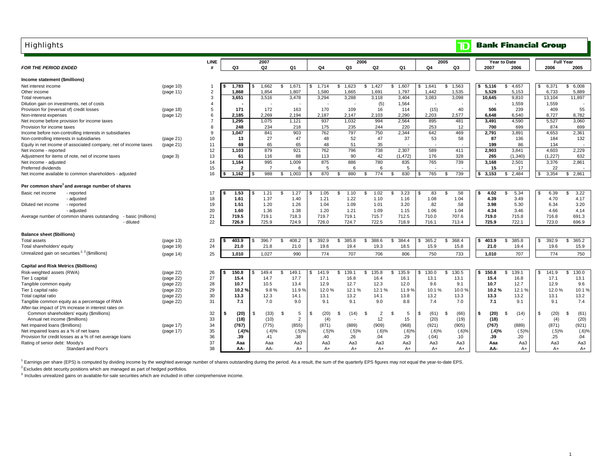| <b>Highlights</b>                                                 |           |                |                   |                |                   |             |                       |                      |                     |             | $\mathbb T$  |              | <b>Bank Financial Group</b> |              |                         |
|-------------------------------------------------------------------|-----------|----------------|-------------------|----------------|-------------------|-------------|-----------------------|----------------------|---------------------|-------------|--------------|--------------|-----------------------------|--------------|-------------------------|
|                                                                   |           | <b>LINE</b>    |                   | 2007           |                   |             |                       | 2006                 |                     |             | 2005         |              | <b>Year to Date</b>         |              | <b>Full Year</b>        |
| <b>FOR THE PERIOD ENDED</b>                                       |           |                | Q3                | Q <sub>2</sub> | Q1                | Q4          | Q3                    | Q <sub>2</sub>       | Q1                  | Q4          | Q3           | 2007         | 2006                        | 2006         | 2005                    |
| Income statement (\$millions)                                     |           |                |                   |                |                   |             |                       |                      |                     |             |              |              |                             |              |                         |
| Net interest income                                               | (page 10) |                | 1,783             | 1,662<br>\$.   | 1,671<br>s.       | 1,714<br>\$ | $\mathbb{S}$<br>1,623 | \$1,427              | \$<br>1,607         | 1,641<br>s. | 1,563<br>s.  | 5,116<br>\$. | 4,657<br>\$.                | 6,371<br>\$. | 6,008<br>\$             |
| Other income                                                      | (page 11) | $\overline{2}$ | 1,868             | 1,854          | 1,807             | 1,580       | 1,665                 | 1,691                | 1.797               | 1,442       | 1,535        | 5,529        | 5,153                       | 6,733        | 5,889                   |
| Total revenues                                                    |           | 3              | 3,651             | 3,516          | 3,478             | 3,294       | 3,288                 | 3,118                | 3,404               | 3,083       | 3,098        | 10,645       | 9,810                       | 13,104       | 11,897                  |
| Dilution gain on investments, net of costs                        |           | $\overline{4}$ |                   |                |                   |             |                       | (5)                  | 1,564               |             |              |              | 1,559                       | 1,559        |                         |
| Provision for (reversal of) credit losses                         | (page 18) | 5              | 171               | 172            | 163               | 170         | 109                   | 16                   | 114                 | (15)        | 40           | 506          | 239                         | 409          | 55                      |
| Non-interest expenses                                             | (page 12) | 6              | 2,185             | 2.269          | 2,194             | 2,187       | 2,147                 | 2,103                | 2,290               | 2,203       | 2,577        | 6,648        | 6.540                       | 8,727        | 8,782                   |
| Net income before provision for income taxes                      |           | $\overline{7}$ | 1,295             | 1,075          | 1,121             | 937         | 1,032                 | 994                  | 2,564               | 895         | 481          | 3,491        | 4,590                       | 5,527        | 3,060                   |
| Provision for income taxes                                        |           | 8              | 248               | 234            | 218               | 175         | 235                   | 244                  | 220                 | 253         | 12           | 700          | 699                         | 874          | 699                     |
| Income before non-controlling interests in subsidiaries           |           | 9              | 1,047             | 841            | 903               | 762         | 797                   | 750                  | 2,344               | 642         | 469          | 2,791        | 3,891                       | 4,653        | 2,361                   |
| Non-controlling interests in subsidiaries                         | (page 21) | 10             | 13                | 27             | 47                | 48          | 52                    | 47                   | 37                  | 53          | 58           | 87           | 136                         | 184          | 132                     |
| Equity in net income of associated company, net of income taxes   | (paqe 21) | 11             | 69                | 65             | 65                | 48          | 51                    | 35                   |                     |             |              | 199          | 86                          | 134          | $\sim$                  |
| Net income - reported                                             |           | 12             | 1.103             | 879            | 921               | 762         | 796                   | 738                  | 2,307               | 589         | 411          | 2.903        | 3,841                       | 4,603        | 2,229                   |
| Adjustment for items of note, net of income taxes                 | (page 3)  | 13             | 61                | 116            | 88                | 113         | 90                    | 42                   | (1, 472)            | 176         | 328          | 265          | (1, 340)                    | (1,227)      | 632                     |
| Net income - adjusted                                             |           | 14             | 1.164             | 995            | 1,009             | 875         | 886                   | 780                  | 835                 | 765         | 739          | 3.168        | 2,501                       | 3,376        | 2,861                   |
| Preferred dividends                                               |           | 15             | 2                 | $\overline{7}$ | 6                 | 5           | 6                     | 6                    | 5                   |             |              | 15           | 17                          | 22           |                         |
| Net income available to common shareholders - adjusted            |           | 16             | 1,162             | 988            | 1,003<br>s.       | 870         | 880<br>-S             | 774<br>$\mathbf{s}$  | 830<br>\$           | 765         | 739<br>£.    | 3,153<br>\$  | 2,484<br>s.                 | 3,354        | 2,861<br>\$             |
| Per common share <sup>1</sup> and average number of shares        |           |                |                   |                |                   |             |                       |                      |                     |             |              |              |                             |              |                         |
| Basic net income<br>- reported                                    |           | 17             | 1.53              | 1.21           | 1.27<br>\$        | 1.05        | -S<br>1.10            | 1.02<br>\$           | 3.23<br>£.          | .83         | .58          | 4.02         | 5.34<br>-S                  | 6.39         | 3.22<br>\$              |
| - adjusted                                                        |           | 18             | 1.61              | 1.37           | 1.40              | 1.21        | 1.22                  | 1.10                 | 1.16                | 1.08        | 1.04         | 4.39         | 3.49                        | 4.70         | 4.17                    |
| - reported<br>Diluted net income                                  |           | 19             | 1.51              | 1.20           | 1.26              | 1.04        | 1.09                  | 1.01                 | 3.20                | .82         | .58          | 3.98         | 5.30                        | 6.34         | 3.20                    |
| - adjusted                                                        |           | 20             | 1.60              | 1.36           | 1.38              | 1.20        | 1.21                  | 1.09                 | 1.15                | 1.06        | 1.04         | 4.34         | 3.46                        | 4.66         | 4.14                    |
| Average number of common shares outstanding<br>- basic (millions) |           | 21             | 719.5             | 719.1          | 718.3             | 719.7       | 719.1                 | 715.7                | 712.5               | 710.0       | 707.6        | 719.0        | 715.8                       | 716.8        | 691.3                   |
| - diluted                                                         |           | 22             | 726.9             | 725.9          | 724.9             | 726.0       | 724.7                 | 722.5                | 718.9               | 716.1       | 713.4        | 725.9        | 722.1                       | 723.0        | 696.9                   |
| <b>Balance sheet (\$billions)</b>                                 |           |                |                   |                |                   |             |                       |                      |                     |             |              |              |                             |              |                         |
| <b>Total assets</b>                                               | (page 13) | 23             | 403.9             | 396.7          | 408.2<br>s.       | 392.9       | 385.8<br>\$           | 388.6<br>\$          | 384.4<br>\$.        | 365.2       | 368.4<br>£.  | 403.9        | 385.8<br>\$                 | 392.9        | 365.2<br>$\mathfrak{L}$ |
| Total shareholders' equity                                        | (page 19) | 24             | 21.0              | 21.8           | 21.0              | 19.6        | 19.4                  | 19.3                 | 18.5                | 15.9        | 15.8         | 21.0         | 19.4                        | 19.6         | 15.9                    |
| Unrealized gain on securities <sup>2, 3</sup> (\$millions)        | (page 14) | 25             | 1,010             | 1.027          | 990               | 774         | 707                   | 706                  | 806                 | 750         | 733          | 1,010        | 707                         | 774          | 750                     |
|                                                                   |           |                |                   |                |                   |             |                       |                      |                     |             |              |              |                             |              |                         |
| <b>Capital and Risk Metrics (\$billions)</b>                      |           |                |                   |                |                   |             |                       |                      |                     |             |              |              |                             |              |                         |
| Risk-weighted assets (RWA)                                        | (page 22) | 26             | 150.8             | 149.4          | <b>S</b><br>149.1 | 141.9       | S<br>139.1            | \$<br>135.8          | \$<br>135.9         | 130.0       | 130.5<br>\$. | 150.8        | \$<br>139.1                 | 141.9        | \$<br>130.0             |
| Tier 1 capital                                                    | (page 22) | 27             | 15.4              | 14.7           | 17.7              | 17.1        | 16.8                  | 16.4                 | 16.1                | 13.1        | 13.1         | 15.4         | 16.8                        | 17.1         | 13.1                    |
| Tangible common equity                                            | (page 22) | 28             | 10.7              | 10.5           | 13.4              | 12.9        | 12.7                  | 12.3                 | 12.0                | 9.6         | 9.1          | 10.7         | 12.7                        | 12.9         | 9.6                     |
| Tier 1 capital ratio                                              | (page 22) | 29             | 10.2 <sub>9</sub> | 9.8%           | 11.9 %            | 12.0%       | 12.1%                 | 12.1%                | 11.9 %              | 10.1%       | 10.0%        | 10.2%        | 12.1 %                      | 12.0%        | 10.1%                   |
| Total capital ratio                                               | (page 22) | 30             | 13.3              | 12.3           | 14.1              | 13.1        | 13.2                  | 14.1                 | 13.8                | 13.2        | 13.3         | 13.3         | 13.2                        | 13.1         | 13.2                    |
| Tangible common equity as a percentage of RWA                     | (page 22) | 31             | 7.1               | 7.0            | 9.0               | 9.1         | 9.1                   | 9.0                  | 8.8                 | 7.4         | 7.0          | 7.1          | 9.1                         | 9.1          | 7.4                     |
| After-tax impact of 1% increase in interest rates on              |           |                |                   |                |                   |             |                       |                      |                     |             |              |              |                             |              |                         |
| Common shareholders' equity (\$millions)                          |           | 32             | (20)              | (33)<br>S.     | 5                 | (20)<br>\$. | (14)<br>۹             | $\overline{2}$<br>9. | ę.<br>5             | (61)<br>£.  | (66)<br>ę.   | (20)<br>- \$ | (14)<br>ς.                  | \$<br>(20)   | (61)<br>£.              |
| Annual net income (\$millions)                                    |           | 33             | (18)              | (10)           | $\overline{2}$    | (4)         |                       | 12                   | 15                  | (20)        | (19)         | (18)         |                             | (4)          | (20)                    |
| Net impaired loans (\$millions)                                   | (page 17) | 34             | (767)             | (775)          | (855)             | (871)       | (889)                 | (909)                | (968)               | (921)       | (905)        | (767)        | (889)                       | (871)        | (921)                   |
| Net impaired loans as a % of net loans                            | (page 17) | 35             | (.4)%             | (.4)%          | (.5)%             | (.5)%       | (.5)%                 | (.6)%                | $(.6)$ <sup>9</sup> | $(.6)$ %    | $(.6)$ %     | (.4)%        | (.5)%                       | (.5)%        | (.6)%                   |
| Provision for credit losses as a % of net average loans           |           | 36             | .39               | .41            | .38               | .40         | .26                   | .04                  | .29                 | (.04)       | .10          | .39          | .20                         | .25          | .04                     |
| Rating of senior debt: Moody's                                    |           | 37             | Aaa               | Aaa            | Aa3               | Aa3         | Aa3                   | Aa3                  | Aa3                 | Aa3         | Aa3          | Aaa          | Aa3                         | Aa3          | Aa3                     |
| Standard and Poor's                                               |           | 38             | AA-               | AA-            | $A+$              | $A+$        | $A+$                  | $A+$                 | $A+$                | $A+$        | $A+$         | AA-          | $A+$                        | A+           | A+                      |

<sup>1</sup> Earnings per share (EPS) is computed by dividing income by the weighted average number of shares outstanding during the period. As a result, the sum of the quarterly EPS figures may not equal the year-to-date EPS.

<sup>2</sup> Excludes debt security positions which are managed as part of hedged portfolios.

<sup>3</sup> Includes unrealized gains on available-for-sale securities which are included in other comprehensive income.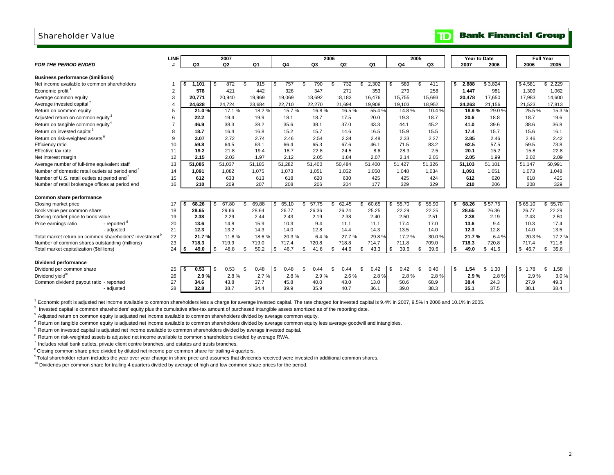### Shareholder Value

|                                                                     |           |             | 2007        |                |                |                | 2006        |              |                | 2005           | Year to Date |                       |            | <b>Full Year</b> |
|---------------------------------------------------------------------|-----------|-------------|-------------|----------------|----------------|----------------|-------------|--------------|----------------|----------------|--------------|-----------------------|------------|------------------|
| <b>FOR THE PERIOD ENDED</b>                                         | LINE<br># | Q3          | Q2          | Q <sub>1</sub> | Q <sub>4</sub> | Q <sub>3</sub> | Q2          | Q1           | Q <sub>4</sub> | Q <sub>3</sub> | 2007         | 2006                  | 2006       | 2005             |
|                                                                     |           |             |             |                |                |                |             |              |                |                |              |                       |            |                  |
| <b>Business performance (\$millions)</b>                            |           |             |             |                |                |                |             |              |                |                |              |                       |            |                  |
| Net income available to common shareholders                         |           | 1.101       | 872<br>\$   | 915<br>- \$    | 757            | 790<br>\$      | 732<br>S.   | 2,302<br>\$  | 589<br>S       | 411<br>\$      | 2,888        | \$3,824               | \$4,581    | 2.229<br>\$      |
| Economic profit <sup>1</sup>                                        | 2         | 578         | 421         | 442            | 326            | 347            | 271         | 353          | 279            | 258            | 1,447        | 981                   | 1,309      | 1,062            |
| Average common equity                                               | 3         | 20.771      | 20,940      | 19,969         | 19,069         | 18,692         | 18,183      | 16,476       | 15,755         | 15,693         | 20,478       | 17,650                | 17,983     | 14,600           |
| Average invested capital <sup>2</sup>                               | 4         | 24,628      | 24,724      | 23,684         | 22,710         | 22,270         | 21,694      | 19,908       | 19,103         | 18,952         | 24,263       | 21,156                | 21,523     | 17,813           |
| Return on common equity                                             | 5         | 21.0%       | 17.1%       | 18.2 %         | 15.7%          | 16.8%          | 16.5%       | 55.4%        | 14.8%          | 10.4%          | 18.9%        | 29.0 %                | 25.5 %     | 15.3%            |
| Adjusted return on common equity <sup>3</sup>                       | 6         | 22.2        | 19.4        | 19.9           | 18.1           | 18.7           | 17.5        | 20.0         | 19.3           | 18.7           | 20.6         | 18.8                  | 18.7       | 19.6             |
| Return on tangible common equity <sup>4</sup>                       |           | 46.9        | 38.3        | 38.2           | 35.6           | 38.1           | 37.0        | 43.3         | 44.1           | 45.2           | 41.0         | 39.6                  | 38.6       | 36.8             |
| Return on invested capital <sup>5</sup>                             | 8         | 18.7        | 16.4        | 16.8           | 15.2           | 15.7           | 14.6        | 16.5         | 15.9           | 15.5           | 17.4         | 15.7                  | 15.6       | 16.1             |
| Return on risk-weighted assets <sup>6</sup>                         | 9         | 3.07        | 2.72        | 2.74           | 2.46           | 2.54           | 2.34        | 2.48         | 2.33           | 2.27           | 2.85         | 2.46                  | 2.46       | 2.42             |
| Efficiency ratio                                                    | 10        | 59.8        | 64.5        | 63.1           | 66.4           | 65.3           | 67.6        | 46.1         | 71.5           | 83.2           | 62.5         | 57.5                  | 59.5       | 73.8             |
| Effective tax rate                                                  | 11        | 19.2        | 21.8        | 19.4           | 18.7           | 22.8           | 24.5        | 8.6          | 28.3           | 2.5            | 20.1         | 15.2                  | 15.8       | 22.8             |
| Net interest margin                                                 | 12        | 2.15        | 2.03        | 1.97           | 2.12           | 2.05           | 1.84        | 2.07         | 2.14           | 2.05           | 2.05         | 1.99                  | 2.02       | 2.09             |
| Average number of full-time equivalent staff                        | 13        | 51.085      | 51.037      | 51.185         | 51.282         | 51.400         | 50.484      | 51.400       | 51.427         | 51.326         | 51,103       | 51.101                | 51.147     | 50.991           |
| Number of domestic retail outlets at period end <sup>7</sup>        | 14        | 1.091       | 1.082       | 1,075          | 1,073          | 1,051          | 1,052       | 1,050        | 1.048          | 1,034          | 1,091        | 1,051                 | 1.073      | 1,048            |
| Number of U.S. retail outlets at period end                         | 15        | 612         | 633         | 613            | 618            | 620            | 630         | 425          | 425            | 424            | 612          | 620                   | 618        | 425              |
| Number of retail brokerage offices at period end                    | 16        | 210         | 209         | 207            | 208            | 206            | 204         | 177          | 329            | 329            | 210          | 206                   | 208        | 329              |
|                                                                     |           |             |             |                |                |                |             |              |                |                |              |                       |            |                  |
| Common share performance                                            |           |             |             |                |                |                |             |              |                |                |              |                       |            |                  |
| Closing market price                                                | 17        | 68.26       | 67.80<br>-S | 69.88<br>\$    | 65.10          | 57.75          | 62.45<br>S. | 60.65<br>\$. | 55.70<br>S     | 55.90<br>\$    | 68.26        | \$57.75               | \$65.10    | 55.70<br>\$      |
| Book value per common share                                         | 18        | 28.65       | 29.66       | 28.64          | 26.77          | 26.36          | 26.24       | 25.25        | 22.29          | 22.25          | 28.65        | 26.36                 | 26.77      | 22.29            |
| Closing market price to book value                                  | 19        | 2.38        | 2.29        | 2.44           | 2.43           | 2.19           | 2.38        | 2.40         | 2.50           | 2.51           | 2.38         | 2.19                  | 2.43       | 2.50             |
| Price earnings ratio<br>- reported                                  | 20        | 13.6        | 14.8        | 15.9           | 10.3           | 9.4            | 11.1        | 11.1         | 17.4           | 17.0           | 13.6         | 9.4                   | 10.3       | 17.4             |
| - adjusted                                                          | 21        | 12.3        | 13.2        | 14.3           | 14.0           | 12.8           | 14.4        | 14.3         | 13.5           | 14.0           | 12.3         | 12.8                  | 14.0       | 13.5             |
| Total market return on common shareholders' investment <sup>9</sup> | 22        | 21.7%       | 11.8%       | 18.6%          | 20.3%          | 6.4%           | 27.7%       | 29.8%        | 17.2 %         | 30.0%          | 21.7%        | 6.4%                  | 20.3%      | 17.2%            |
| Number of common shares outstanding (millions)                      | 23        | 718.3       | 719.9       | 719.0          | 717.4          | 720.8          | 718.8       | 714.7        | 711.8          | 709.0          | 718.3        | 720.8                 | 717.4      | 711.8            |
| Total market capitalization (\$billions)                            | 24        | 49.0<br>ΙSΙ | 48.8<br>\$  | 50.2<br>\$     | 46.7<br>S      | 41.6<br>S      | 44.9<br>\$. | 43.3<br>\$   | 39.6<br>\$     | 39.6<br>\$     | 49.0<br>\$   | 41.6<br>\$            | \$46.7     | 39.6<br>\$       |
|                                                                     |           |             |             |                |                |                |             |              |                |                |              |                       |            |                  |
| Dividend performance                                                |           |             |             |                |                |                |             |              |                |                |              |                       |            |                  |
| Dividend per common share                                           | 25        | 0.53        | 0.53<br>\$  | 0.48<br>\$     | 0.48           | 0.44           | 0.44        | 0.42<br>\$   | 0.42<br>\$     | 0.40<br>\$     | 1.54<br>s.   | 1.30<br>$\mathcal{F}$ | \$<br>1.78 | 1.58<br>\$       |
| Dividend vield <sup>10</sup>                                        | 26        | 2.9%        | 2.8%        | 2.7%           | 2.8%           | 2.9%           | 2.6%        | 2.8%         | 2.8%           | 2.8%           | 2.9%         | 2.8%                  | 2.9%       | 3.0%             |
| Common dividend payout ratio - reported                             | 27        | 34.6        | 43.8        | 37.7           | 45.8           | 40.0           | 43.0        | 13.0         | 50.6           | 68.9           | 38.4         | 24.3                  | 27.9       | 49.3             |
| - adjusted                                                          | 28        | 32.8        | 38.7        | 34.4           | 39.9           | 35.9           | 40.7        | 36.1         | 39.0           | 38.3           | 35.1         | 37.5                  | 38.1       | 38.4             |

 $^1$  Economic profit is adjusted net income available to common shareholders less a charge for average invested capital. The rate charged for invested capital is 9.4% in 2007, 9.5% in 2006 and 10.1% in 2005.

<sup>2</sup> Invested capital is common shareholders' equity plus the cumulative after-tax amount of purchased intangible assets amortized as of the reporting date.

<sup>3</sup> Adjusted return on common equity is adjusted net income available to common shareholders divided by average common equity.

<sup>4</sup> Return on tangible common equity is adjusted net income available to common shareholders divided by average common equity less average goodwill and intangibles.

 $<sup>5</sup>$  Return on invested capital is adjusted net income available to common shareholders divided by average invested capital.</sup>

<sup>6</sup> Return on risk-weighted assets is adjusted net income available to common shareholders divided by average RWA.

 $<sup>7</sup>$  Includes retail bank outlets, private client centre branches, and estates and trusts branches.</sup>

<sup>8</sup> Closing common share price divided by diluted net income per common share for trailing 4 quarters.

<sup>9</sup> Total shareholder return includes the year over year change in share price and assumes that dividends received were invested in additional common shares.

 $10$  Dividends per common share for trailing 4 quarters divided by average of high and low common share prices for the period.

# **TD** Bank Financial Group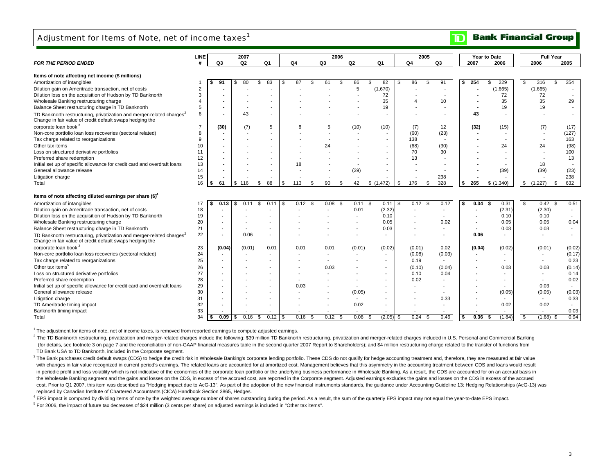## Adjustment for Items of Note, net of income taxes<sup>1</sup>

#### **Bank Financial Group**  $\mathbf{D}$

|                                                                                                                                               | LINE     |                | 2007   |      |      |      |              |                          | 2006 |                        |                          |      | 2005         |                          |                         | Year to Date             |                          | <b>Full Year</b>         |                                  |
|-----------------------------------------------------------------------------------------------------------------------------------------------|----------|----------------|--------|------|------|------|--------------|--------------------------|------|------------------------|--------------------------|------|--------------|--------------------------|-------------------------|--------------------------|--------------------------|--------------------------|----------------------------------|
| <b>FOR THE PERIOD ENDED</b>                                                                                                                   | #        | Q3             | Q2     |      | Q1   |      | Q4           | Q3                       |      | Q <sub>2</sub>         | Q1                       |      | Q4           | Q3                       | 2007                    | 2006                     | 2006                     |                          | 2005                             |
|                                                                                                                                               |          |                |        |      |      |      |              |                          |      |                        |                          |      |              |                          |                         |                          |                          |                          |                                  |
| Items of note affecting net income (\$ millions)                                                                                              |          |                |        |      |      |      |              |                          |      |                        |                          |      |              |                          |                         |                          |                          |                          |                                  |
| Amortization of intangibles                                                                                                                   |          | 91             | 80     | \$   | 83   | ٩.   | 87<br>£.     | 61                       | \$   | 86                     | £.<br>82                 | \$   | 86           | \$<br>91                 | 254<br>s.               | \$.<br>229               | 316<br>-\$               | \$                       | 354                              |
| Dilution gain on Ameritrade transaction, net of costs                                                                                         | 2        |                |        |      |      |      |              |                          |      | 5                      | (1,670)                  |      |              | $\overline{\phantom{a}}$ |                         | (1,665)                  | (1,665)                  |                          |                                  |
| Dilution loss on the acquisition of Hudson by TD Banknorth                                                                                    | 3        |                |        |      |      |      |              |                          |      |                        | 72                       |      |              |                          |                         | 72                       | 72                       |                          |                                  |
| Wholesale Banking restructuring charge                                                                                                        |          |                |        |      |      |      |              |                          |      |                        | 35                       |      |              | 10                       |                         | 35                       | 35                       |                          | 29                               |
| Balance Sheet restructuring charge in TD Banknorth                                                                                            | 5        |                |        |      |      |      |              |                          |      |                        | 19                       |      |              | ٠                        |                         | 19                       | 19                       |                          |                                  |
| TD Banknorth restructuring, privatization and merger-related charges <sup>2</sup><br>Change in fair value of credit default swaps hedging the | 6        |                | 43     |      |      |      |              |                          |      |                        | $\overline{\phantom{a}}$ |      |              | ٠                        | 43                      |                          |                          |                          |                                  |
| corporate loan book <sup>3</sup>                                                                                                              |          | (30)           | (7)    |      | 5    |      |              | 5                        |      | (10)                   | (10)                     |      | (7)          | 12                       | (32)                    | (15)                     |                          | (7)                      | (17)                             |
| Non-core portfolio loan loss recoveries (sectoral related)                                                                                    | 8        |                |        |      |      |      |              |                          |      |                        | $\overline{\phantom{a}}$ |      | (60)         | (23)                     |                         | $\overline{\phantom{a}}$ |                          | $\overline{\phantom{a}}$ | (127)                            |
| Tax charge related to reorganizations                                                                                                         | 9        |                |        |      |      |      |              |                          |      |                        | $\overline{\phantom{a}}$ |      | 138          | $\blacksquare$           |                         |                          |                          | $\overline{\phantom{a}}$ | 163                              |
| Other tax items                                                                                                                               | 10       |                |        |      |      |      |              | 24                       |      |                        |                          |      | (68)         | (30)                     |                         | 24                       | 24                       |                          | (98)                             |
| Loss on structured derivative portfolios                                                                                                      | 11       |                |        |      |      |      |              |                          |      |                        | $\overline{\phantom{a}}$ |      | 70           | 30                       |                         |                          |                          |                          | 100                              |
| Preferred share redemption                                                                                                                    | 12       |                |        |      |      |      |              |                          |      |                        | $\overline{\phantom{a}}$ |      | 13           | $\blacksquare$           |                         |                          |                          |                          | 13                               |
| Initial set up of specific allowance for credit card and overdraft loans                                                                      | 13       |                |        |      |      |      | 18           |                          |      |                        |                          |      |              |                          |                         |                          | 18                       |                          |                                  |
| General allowance release                                                                                                                     | 14       |                |        |      |      |      |              |                          |      | (39)                   | $\overline{\phantom{a}}$ |      |              | ٠                        |                         | (39)                     | (39)                     |                          | (23)                             |
| Litigation charge                                                                                                                             | 15       |                |        |      |      |      |              | $\overline{\phantom{a}}$ |      |                        | $\overline{\phantom{a}}$ |      |              | 238                      |                         |                          |                          |                          | 238                              |
| Total                                                                                                                                         | 16       | 61<br>S        | \$116  | \$.  | 88   | - \$ | 113<br>\$.   | 90                       | S.   | 42                     | \$(1,472)                | - 35 | 176          | 328<br>£.                | 265<br>\$               | $\sqrt{6}$ (1,340)       | \$<br>(1,227)            | - \$                     | 632                              |
| Items of note affecting diluted earnings per share $(\text{$\$})^4$                                                                           |          |                |        |      |      |      |              |                          |      |                        |                          |      |              |                          |                         |                          |                          |                          |                                  |
|                                                                                                                                               |          |                |        |      |      |      |              |                          |      |                        |                          |      |              |                          |                         |                          |                          |                          |                                  |
| Amortization of intangibles                                                                                                                   | 17       | 0.13<br>S      | 0.11   | \$.  | 0.11 | -9   | 0.12<br>- \$ | 0.08                     | - \$ | $0.11$ \$              | 0.11                     | \$   | 0.12<br>- \$ | 0.12                     | 0.34<br>\$              | 0.31<br>- \$             | - \$                     | 0.42<br>- \$             | 0.51<br>$\overline{\phantom{a}}$ |
| Dilution gain on Ameritrade transaction, net of costs<br>Dilution loss on the acquisition of Hudson by TD Banknorth                           | 18<br>19 |                |        |      |      |      |              |                          |      | 0.01<br>$\blacksquare$ | (2.32)<br>0.10           |      |              | $\overline{\phantom{a}}$ |                         | (2.31)<br>0.10           |                          | (2.30)<br>0.10           | $\overline{\phantom{a}}$         |
|                                                                                                                                               |          |                |        |      |      |      |              |                          |      |                        |                          |      |              | $\overline{\phantom{a}}$ |                         | 0.05                     |                          |                          |                                  |
| Wholesale Banking restructuring charge                                                                                                        | 20       |                |        |      |      |      |              |                          |      |                        | 0.05<br>0.03             |      |              | 0.02<br>$\sim$           |                         | 0.03                     |                          | 0.05<br>0.03             | 0.04<br>$\sim$                   |
| Balance Sheet restructuring charge in TD Banknorth                                                                                            | 21       |                |        |      |      |      |              |                          |      |                        |                          |      |              |                          |                         |                          |                          |                          |                                  |
| TD Banknorth restructuring, privatization and merger-related charges <sup>2</sup><br>Change in fair value of credit default swaps hedging the | 22       | $\blacksquare$ |        | 0.06 |      |      |              |                          |      |                        | $\sim$                   |      |              | $\overline{\phantom{a}}$ | 0.06                    |                          |                          |                          |                                  |
| corporate loan book <sup>3</sup>                                                                                                              | 23       | (0.04)         | (0.01) |      | 0.01 |      | 0.01         | 0.01                     |      | (0.01)                 | (0.02)                   |      | (0.01)       | 0.02                     | (0.04)                  | (0.02)                   |                          | (0.01)                   | (0.02)                           |
| Non-core portfolio loan loss recoveries (sectoral related)                                                                                    | 24       |                |        |      |      |      |              |                          |      |                        | $\overline{\phantom{a}}$ |      | (0.08)       | (0.03)                   |                         | $\overline{\phantom{a}}$ |                          |                          | (0.17)                           |
| Tax charge related to reorganizations                                                                                                         | 25       |                |        |      |      |      |              |                          |      |                        | $\overline{\phantom{a}}$ |      | 0.19         | $\sim$                   |                         |                          | $\overline{\phantom{a}}$ |                          | 0.23                             |
| Other tax items <sup>5</sup>                                                                                                                  | 26       |                |        |      |      |      |              | 0.03                     |      |                        | $\sim$                   |      | (0.10)       | (0.04)                   |                         | 0.03                     |                          | 0.03                     | (0.14)                           |
| Loss on structured derivative portfolios                                                                                                      | 27       |                |        |      |      |      |              |                          |      |                        | $\overline{\phantom{a}}$ |      | 0.10         | 0.04                     |                         | $\overline{\phantom{a}}$ |                          |                          | 0.14                             |
| Preferred share redemption                                                                                                                    | 28       |                |        |      |      |      |              |                          |      |                        | $\sim$                   |      | 0.02         | $\overline{\phantom{a}}$ |                         |                          |                          |                          | 0.02                             |
| Initial set up of specific allowance for credit card and overdraft loans                                                                      | 29       |                |        |      |      |      | 0.03         |                          |      |                        |                          |      |              |                          |                         |                          |                          | 0.03                     |                                  |
| General allowance release                                                                                                                     | 30       |                |        |      |      |      |              |                          |      | (0.05)                 | $\overline{\phantom{a}}$ |      |              | $\overline{\phantom{a}}$ |                         | (0.05)                   |                          | (0.05)                   | (0.03)                           |
| Litigation charge                                                                                                                             | 31       |                |        |      |      |      |              |                          |      |                        |                          |      |              | 0.33                     |                         |                          |                          |                          | 0.33                             |
| TD Ameritrade timing impact                                                                                                                   | 32       |                |        |      |      |      |              |                          |      | 0.02                   | $\blacksquare$           |      |              | $\overline{\phantom{a}}$ |                         | 0.02                     |                          | 0.02                     |                                  |
| Banknorth timing impact                                                                                                                       | 33       |                |        |      |      |      |              | $\overline{\phantom{a}}$ |      | $\blacksquare$         | $\overline{\phantom{a}}$ |      |              | $\overline{\phantom{a}}$ | $\blacksquare$          | $\overline{\phantom{a}}$ |                          |                          | 0.03                             |
| Total                                                                                                                                         | 34       | 0.09           |        | 0.16 |      |      | $0.16$ \$    | 0.12S                    |      | 0.08                   | (2.05)<br>- \$           | - 35 | 0.24         | 0.46<br>- \$             | 0.36 <sup>5</sup><br>\$ | (1.84)                   | \$                       | $(1.68)$ \$              | 0.94                             |

 $1$  The adjustment for items of note, net of income taxes, is removed from reported earnings to compute adjusted earnings.

<sup>2</sup> The TD Banknorth restructuring, privatization and merger-related charges include the following: \$39 million TD Banknorth restructuring, privatization and merger-related charges included in U.S. Personal and Commercial (for details, see footnote 3 on page 7 and the reconciliation of non-GAAP financial measures table in the second quarter 2007 Report to Shareholders); and \$4 million restructuring charge related to the transfer of function TD Bank USA to TD Banknorth, included in the Corporate segment.

<sup>3</sup> The Bank purchases credit default swaps (CDS) to hedge the credit risk in Wholesale Banking's corporate lending portfolio. These CDS do not qualify for hedge accounting treatment and, therefore, they are measured at fa with changes in fair value recognized in current period's earnings. The related loans are accounted for at amortized cost. Management believes that this asymmetry in the accounting treatment between CDS and loans would res in periodic profit and loss volatility which is not indicative of the economics of the corporate loan portfolio or the underlying business performance in Wholesale Banking. As a result, the CDS are accounted for on an accr the Wholesale Banking segment and the gains and losses on the CDS, in excess of the accrued cost, are reported in the Corporate segment. Adjusted earnings excludes the gains and losses on the CDS in excess of the accrued cost. Prior to Q1 2007, this item was described as "Hedging impact due to AcG-13". As part of the adoption of the new financial instruments standards, the guidance under Accounting Guideline 13: Hedging Relationships (AcGreplaced by Canadian Institute of Chartered Accountants (CICA) Handbook Section 3865, Hedges.

<sup>4</sup> EPS impact is computed by dividing items of note by the weighted average number of shares outstanding during the period. As a result, the sum of the quarterly EPS impact may not equal the year-to-date EPS impact.

 $5$  For 2006, the impact of future tax decreases of \$24 million (3 cents per share) on adjusted earnings is included in "Other tax items".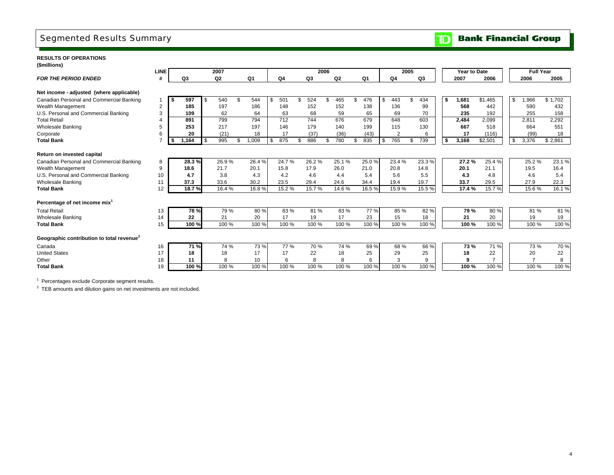# Segmented Results Summary

### **RESULTS OF OPERATIONS(\$millions)**

|                                                       | <b>LINE</b> |    |       |     | 2007  |     |                |                |       | 2006 |                |     |                | 2005      |     |                | <b>Year to Date</b> |                     |    | <b>Full Year</b> |         |
|-------------------------------------------------------|-------------|----|-------|-----|-------|-----|----------------|----------------|-------|------|----------------|-----|----------------|-----------|-----|----------------|---------------------|---------------------|----|------------------|---------|
| <b>FOR THE PERIOD ENDED</b>                           | #           |    | Q3    |     | Q2    |     | Q <sub>1</sub> | Q <sub>4</sub> | Q3    |      | Q <sub>2</sub> |     | Q <sub>1</sub> | Q4        |     | Q <sub>3</sub> | 2007                | 2006                |    | 2006             | 2005    |
|                                                       |             |    |       |     |       |     |                |                |       |      |                |     |                |           |     |                |                     |                     |    |                  |         |
| Net income - adjusted (where applicable)              |             |    |       |     |       |     |                |                |       |      |                |     |                |           |     |                |                     |                     |    |                  |         |
| Canadian Personal and Commercial Banking              |             | -S | 597   |     | 540   | £.  | 544            | 501            | 524   |      | 465            | \$. | 476            | \$<br>443 | \$. | 434            | \$<br>1,681         | $\overline{$1,465}$ | S. | 1,966            | \$1,702 |
| Wealth Management                                     | 2           |    | 185   |     | 197   |     | 186            | 148            | 152   |      | 152            |     | 138            | 136       |     | 99             | 568                 | 442                 |    | 590              | 432     |
| U.S. Personal and Commercial Banking                  | 3           |    | 109   |     | 62    |     | 64             | 63             | 68    |      | 59             |     | 65             | 69        |     | 70             | 235                 | 192                 |    | 255              | 158     |
| <b>Total Retail</b>                                   |             |    | 891   |     | 799   |     | 794            | 712            | 744   |      | 676            |     | 679            | 648       |     | 603            | 2,484               | 2.099               |    | 2,811            | 2,292   |
| <b>Wholesale Banking</b>                              | 5           |    | 253   |     | 217   |     | 197            | 146            | 179   |      | 140            |     | 199            | 115       |     | 130            | 667                 | 518                 |    | 664              | 551     |
| Corporate                                             | 6           |    | 20    |     | (21)  |     | 18             | 17             | (37)  |      | (36)           |     | (43)           | 2         |     | 6              | 17                  | (116)               |    | (99)             | 18      |
| <b>Total Bank</b>                                     |             | £. | 1,164 | -\$ | 995   | \$. | 1,009          | 875            | 886   |      | 780            |     | 835            | \$<br>765 | \$  | 739            | \$<br>3,168         | \$2,501             | \$ | 3,376            | \$2,861 |
|                                                       |             |    |       |     |       |     |                |                |       |      |                |     |                |           |     |                |                     |                     |    |                  |         |
| Return on invested capital                            |             |    |       |     |       |     |                |                |       |      |                |     |                |           |     |                |                     |                     |    |                  |         |
| Canadian Personal and Commercial Banking              | 8           |    | 28.3% |     | 26.9% |     | 26.4%          | 24.7%          | 26.2% |      | 25.1%          |     | 25.0%          | 23.4%     |     | 23.3%          | 27.2%               | 25.4%               |    | 25.2%            | 23.1%   |
| Wealth Management                                     | 9           |    | 18.6  |     | 21.7  |     | 20.1           | 15.8           | 17.9  |      | 26.0           |     | 21.0           | 20.8      |     | 14.8           | 20.1                | 21.1                |    | 19.5             | 16.4    |
| U.S. Personal and Commercial Banking                  | 10          |    | 4.7   |     | 3.8   |     | 4.3            | 4.2            | 4.6   |      | 4.4            |     | 5.4            | 5.6       |     | 5.5            | 4.3                 | 4.8                 |    | 4.6              | 5.4     |
| <b>Wholesale Banking</b>                              | 11          |    | 37.3  |     | 33.6  |     | 30.2           | 23.5           | 29.4  |      | 24.6           |     | 34.4           | 19.4      |     | 19.7           | 33.7                | 29.5                |    | 27.9             | 22.3    |
| <b>Total Bank</b>                                     | 12          |    | 18.7% |     | 16.4% |     | 16.8%          | 15.2%          | 15.7% |      | 14.6%          |     | 16.5%          | 15.9%     |     | 15.5 %         | 17.4 %              | 15.7%               |    | 15.6%            | 16.1 %  |
|                                                       |             |    |       |     |       |     |                |                |       |      |                |     |                |           |     |                |                     |                     |    |                  |         |
| Percentage of net income mix <sup>1</sup>             |             |    |       |     |       |     |                |                |       |      |                |     |                |           |     |                |                     |                     |    |                  |         |
| <b>Total Retail</b>                                   | 13          |    | 78 %  |     | 79 %  |     | 80%            | 83%            | 81%   |      | 83%            |     | 77 %           | 85 %      |     | 82%            | 79 %                | 80%                 |    | 81%              | 81%     |
| <b>Wholesale Banking</b>                              | 14          |    | 22    |     | 21    |     | 20             | 17             | 19    |      | 17             |     | 23             | 15        |     | 18             | 21                  | 20                  |    | 19               | 19      |
| <b>Total Bank</b>                                     | 15          |    | 100%  |     | 100 % |     | 100 %          | 100 %          | 100 % |      | 100 %          |     | 100 %          | 100 %     |     | 100 %          | 100 %               | 100 %               |    | 100 %            | 100 %   |
|                                                       |             |    |       |     |       |     |                |                |       |      |                |     |                |           |     |                |                     |                     |    |                  |         |
| Geographic contribution to total revenue <sup>2</sup> |             |    |       |     |       |     |                |                |       |      |                |     |                |           |     |                |                     |                     |    |                  |         |
| Canada                                                | 16          |    | 71%   |     | 74 %  |     | 73 %           | 77 %           | 70 %  |      | 74 %           |     | 69%            | 68 %      |     | 66 %           | 73 %                | 71 %                |    | 73 %             | 70 %    |
| <b>United States</b>                                  | 17          |    | 18    |     | 18    |     | 17             | 17             | 22    |      | 18             |     | 25             | 29        |     | 25             | 18                  | 22                  |    | 20               | 22      |
| Other                                                 | 18          |    | 11    |     | 8     |     | 10             | 6              | 8     |      | 8              |     | 6              | 3         |     | 9              | 9                   | $\overline{ }$      |    |                  | 8       |
| <b>Total Bank</b>                                     | 19          |    | 100%  |     | 100 % |     | 100 %          | 100 %          | 100 % |      | 100 %          |     | 100 %          | 100 %     |     | 100 %          | 100 %               | 100 %               |    | 100 %            | 100 %   |
|                                                       |             |    |       |     |       |     |                |                |       |      |                |     |                |           |     |                |                     |                     |    |                  |         |

<sup>1</sup> Percentages exclude Corporate segment results.

 $2$  TEB amounts and dilution gains on net investments are not included.

### **Bank Financial Group**  $\mathbf{D}$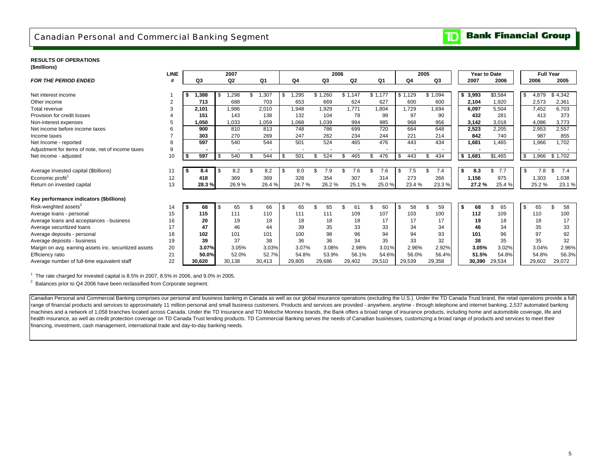### **RESULTS OF OPERATIONS**

**(\$millions)**

| (@IIIIIIIIOIIS)                                       |             |     |        |                |                |     |                |           |         |                |           |           |      |                |                     |           |                  |           |
|-------------------------------------------------------|-------------|-----|--------|----------------|----------------|-----|----------------|-----------|---------|----------------|-----------|-----------|------|----------------|---------------------|-----------|------------------|-----------|
|                                                       | <b>LINE</b> |     |        | 2007           |                |     |                | 2006      |         |                |           |           | 2005 |                | <b>Year to Date</b> |           | <b>Full Year</b> |           |
| <b>FOR THE PERIOD ENDED</b>                           | #           |     | Q3     | Q <sub>2</sub> | Q <sub>1</sub> |     | Q <sub>4</sub> | Q3        |         | Q <sub>2</sub> | Q1        | Q4        |      | Q <sub>3</sub> | 2007                | 2006      | 2006             | 2005      |
|                                                       |             |     |        |                |                |     |                |           |         |                |           |           |      |                |                     |           |                  |           |
| Net interest income                                   |             | S   | 1.388  | ,298           | 1,307          | \$  | 1,295          | \$1,260   | \$1,147 |                | \$1.177   | \$1,129   |      | \$1,094        | \$3,993             | \$3,584   | \$<br>4,879      | \$4,342   |
| Other income                                          |             |     | 713    | 688            | 703            |     | 653            | 669       |         | 624            | 627       | 600       |      | 600            | 2,104               | 1,920     | 2,573            | 2,361     |
| <b>Total revenue</b>                                  | 3           |     | 2,101  | 1,986          | 2,010          |     | 1,948          | 1,929     |         | 1,771          | 1,804     | 1,729     |      | 1,694          | 6.097               | 5,504     | 7,452            | 6,703     |
| Provision for credit losses                           |             |     | 151    | 143            | 138            |     | 132            | 104       |         | 78             | 99        | 97        |      | 90             | 432                 | 281       | 413              | 373       |
| Non-interest expenses                                 |             |     | 1,050  | 1,033          | 1,059          |     | 1,068          | 1,039     |         | 994            | 985       | 968       |      | 956            | 3,142               | 3,018     | 4,086            | 3,773     |
| Net income before income taxes                        |             |     | 900    | 810            | 813            |     | 748            | 786       |         | 699            | 720       | 664       |      | 648            | 2,523               | 2.205     | 2,953            | 2,557     |
| Income taxes                                          |             |     | 303    | 270            | 269            |     | 247            | 262       |         | 234            | 244       | 221       |      | 214            | 842                 | 740       | 987              | 855       |
| Net Income - reported                                 |             |     | 597    | 540            | 544            |     | 501            | 524       |         | 465            | 476       | 443       |      | 434            | 1,681               | 1.465     | 1,966            | 1,702     |
| Adjustment for items of note, net of income taxes     | 9           |     |        |                |                |     |                |           |         |                |           |           |      |                |                     |           |                  |           |
| Net income - adjusted                                 | 10          | \$. | 597    | 540            | 544            | Ŝ.  | 501            | \$<br>524 |         | 465            | 476<br>£. | \$<br>443 | \$.  | 434            | \$1,681             | \$1,465   | \$<br>1,966      | \$1,702   |
|                                                       |             |     |        |                |                |     |                |           |         |                |           |           |      |                |                     |           |                  |           |
| Average invested capital (\$billions)                 | 11          | ∣ S | 8.4    | 8.2            | 8.2            | -\$ | 8.0            | 7.9       |         | 7.6            | 7.6       | \$<br>7.5 |      | 7.4            | \$<br>8.3           | 7.7<br>\$ | \$<br>7.8        | 7.4<br>\$ |
| Economic profit <sup>1</sup>                          | 12          |     | 418    | 369            | 369            |     | 328            | 354       |         | 307            | 314       | 273       |      | 266            | 1.156               | 975       | 1,303            | 1,038     |
| Return on invested capital                            | 13          |     | 28.3%  | 26.9%          | 26.4%          |     | 24.7%          | 26.2%     |         | 25.1%          | 25.0%     | 23.4%     |      | 23.3%          | 27.2%               | 25.4%     | 25.2%            | 23.1%     |
|                                                       |             |     |        |                |                |     |                |           |         |                |           |           |      |                |                     |           |                  |           |
| Key performance indicators (\$billions)               |             |     |        |                |                |     |                |           |         |                |           |           |      |                |                     |           |                  |           |
| Risk-weighted assets <sup>2</sup>                     | 14          | S   | 68     | 65             | 66             | -S  | 65             | 65        |         | 61             | 60        | \$<br>58  |      | 59             | \$<br>68            | 65        | \$<br>65         | 58        |
| Average loans - personal                              | 15          |     | 115    | 111            | 110            |     | 111            | 111       |         | 109            | 107       | 103       |      | 100            | 112                 | 109       | 110              | 100       |
| Average loans and acceptances - business              | 16          |     | 20     | 19             | 18             |     | 18             | 18        |         | 18             | 17        | 17        |      | 17             | 19                  | 18        | 18               | 17        |
| Average securitized loans                             | 17          |     | 47     | 46             | 44             |     | 39             | 35        |         | 33             | 33        | 34        |      | 34             | 46                  | 34        | 35               | 33        |
| Average deposits - personal                           | 18          |     | 102    | 101            | 101            |     | 100            | 98        |         | 96             | 94        | 94        |      | 93             | 101                 | 96        | 97               | 92        |
| Average deposits - business                           | 19          |     | 39     | 37             | 38             |     | 36             | 36        |         | 34             | 35        | 33        |      | 32             | 38                  | 35        | 35               | 32        |
| Margin on avg. earning assets inc. securitized assets | 20          |     | 3.07%  | 3.05%          | 3.03%          |     | 3.07%          | 3.08%     |         | 2.98%          | 3.01%     | 2.96%     |      | 2.92%          | 3.05%               | 3.02%     | 3.04%            | 2.96%     |
| Efficiency ratio                                      | 21          |     | 50.0%  | 52.0%          | 52.7%          |     | 54.8%          | 53.9%     |         | 56.1%          | 54.6%     | 56.0%     |      | 56.4%          | 51.5%               | 54.8%     | 54.8%            | 56.3%     |
| Average number of full-time equivalent staff          | 22          |     | 30.620 | 30,138         | 30.413         |     | 29,805         | 29,686    |         | 29,402         | 29,510    | 29,539    |      | 29,358         | 30.390              | 29,534    | 29,602           | 29,072    |

 $1$  The rate charged for invested capital is 8.5% in 2007, 8.5% in 2006, and 9.0% in 2005.

<sup>2</sup> Balances prior to Q4 2006 have been reclassified from Corporate segment.

Canadian Personal and Commercial Banking comprises our personal and business banking in Canada as well as our global insurance operations (excluding the U.S.). Under the TD Canada Trust brand, the retail operations provide range of financial products and services to approximately 11 million personal and small business customers. Products and services are provided - anywhere, anytime - through telephone and internet banking, 2,537 automated b machines and a network of 1,058 branches located across Canada. Under the TD Insurance and TD Meloche Monnex brands, the Bank offers a broad range of insurance products, including home and automobile coverage, life and health insurance, as well as credit protection coverage on TD Canada Trust lending products. TD Commercial Banking serves the needs of Canadian businesses, customizing a broad range of products and services to meet their financing, investment, cash management, international trade and day-to-day banking needs.

#### **Bank Financial Group**  $\mathbf{D}% _{T}=\mathbf{D}_{T}\!\left( \mathbf{1}_{T}% \mathbf{1}_{T}\mathbf{1}_{T}\mathbf{1}_{T}\mathbf{1}_{T}\mathbf{1}_{T}\mathbf{1}_{T}\mathbf{1}_{T}\mathbf{1}_{T}\mathbf{1}_{T}\mathbf{1}_{T}\mathbf{1}_{T}\mathbf{1}_{T}\mathbf{1}_{T}\mathbf{1}_{T}\mathbf{1}_{T}\mathbf{1}_{T}\mathbf{1}_{T}\mathbf{1}_{T}\mathbf{1}_{T}\mathbf{1}_{T}\mathbf{1}_{T}\mathbf{1}_{T}$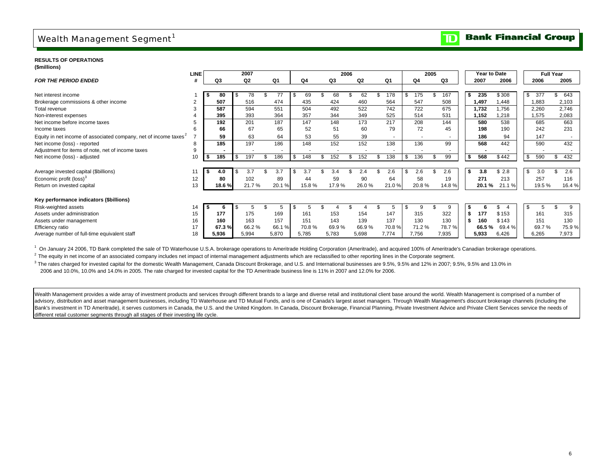# Wealth Management Segment<sup>1</sup>

#### **Bank Financial Group**  $\overline{\mathbf{D}}$

### **RESULTS OF OPERATIONS**

| (\$millions) |
|--------------|
|--------------|

|                                                                              | <b>LINE</b>    |       | 2007           |       |       |           | 2006 |                |                | 2005  |    |       |      | <b>Year to Date</b> |        |      |        | <b>Full Year</b> |       |
|------------------------------------------------------------------------------|----------------|-------|----------------|-------|-------|-----------|------|----------------|----------------|-------|----|-------|------|---------------------|--------|------|--------|------------------|-------|
| <b>FOR THE PERIOD ENDED</b>                                                  | #              | Q3    | Q <sub>2</sub> | Q1    | Q4    | Q3        |      | Q <sub>2</sub> | Q <sub>1</sub> | Q4    | Q3 |       |      | 2007                | 2006   |      | 2006   |                  | 2005  |
|                                                                              |                |       |                |       |       |           |      |                |                |       |    |       |      |                     |        |      |        |                  |       |
| Net interest income                                                          |                | 80    | 78             |       | 69    | 68        |      | 62             | 178            | 175   |    | 167   | £.   | 235                 | \$308  | \$   | 377    |                  | 643   |
| Brokerage commissions & other income                                         | $\overline{2}$ | 507   | 516            | 474   | 435   | 424       |      | 460            | 564            | 547   |    | 508   |      | 1.497               | ,448   |      | 1.883  |                  | 2,103 |
| Total revenue                                                                |                | 587   | 594            | 551   | 504   | 492       |      | 522            | 742            | 722   |    | 675   |      | 1.732               | .756   |      | 2,260  |                  | 2,746 |
| Non-interest expenses                                                        |                | 395   | 393            | 364   | 357   | 344       |      | 349            | 525            | 514   |    | 531   |      | 152.                | ,218   |      | 1,575  |                  | 2,083 |
| Net income before income taxes                                               |                | 192   | 201            | 187   | 147   | 148       |      | 173            | 217            | 208   |    | 144   |      | 580                 | 538    |      | 685    |                  | 663   |
| Income taxes                                                                 | 6              | 66    | 67             | 65    | 52    | 51        |      | 60             | 79             | 72    |    | 45    |      | 198                 | 190    |      | 242    |                  | 231   |
| Equity in net income of associated company, net of income taxes <sup>2</sup> |                | 59    | 63             | 64    | 53    | 55        |      | 39             | $\sim$         |       |    |       |      | 186                 | 94     |      | 147    |                  |       |
| Net income (loss) - reported                                                 | 8              | 185   | 197            | 186   | 148   | 152       |      | 152            | 138            | 136   |    | 99    |      | 568                 | 442    |      | 590    |                  | 432   |
| Adjustment for items of note, net of income taxes                            | 9              |       |                |       |       |           |      |                |                |       |    |       |      |                     |        |      |        |                  |       |
| Net income (loss) - adjusted                                                 | 10             | 185   | 197            | 186   | 148   | \$<br>152 | \$   | 152            | 138            | 136   |    | 99    | \$   | 568                 | \$442  | \$   | 590    | \$               | 432   |
|                                                                              |                |       |                |       |       |           |      |                |                |       |    |       |      |                     |        |      |        |                  |       |
| Average invested capital (\$billions)                                        |                | 4.0   | 3.7            | 3.7   | 3.7   | 3.4       |      | 2.4            | 2.6            | 2.6   |    | 2.6   | - 55 | 3.8                 | \$2.8  | \$   | 3.0    |                  | 2.6   |
| Economic profit (loss) <sup>3</sup>                                          | 12             | 80    | 102            | 89    | 44    | 59        |      | 90             | 64             | 58    |    | 19    |      | 271                 | 213    |      | 257    |                  | 116   |
| Return on invested capital                                                   | 13             | 18.6% | 21.7%          | 20.1% | 15.8% | 17.9%     |      | 26.0%          | 21.0%          | 20.8% |    | 14.8% |      | 20.1 %              | 21.1 % |      | 19.5 % |                  | 16.4% |
|                                                                              |                |       |                |       |       |           |      |                |                |       |    |       |      |                     |        |      |        |                  |       |
| Key performance indicators (\$billions)                                      |                |       |                |       |       |           |      |                |                |       |    |       |      |                     |        |      |        |                  |       |
| Risk-weighted assets                                                         | 14             | 'n    |                |       |       |           |      |                |                | 9     |    |       |      |                     |        | - \$ |        |                  | 9     |
| Assets under administration                                                  | 15             | 177   | 175            | 169   | 161   | 153       |      | 154            | 147            | 315   |    | 322   | \$   | 177                 | \$153  |      | 161    |                  | 315   |
| Assets under management                                                      | 16             | 160   | 163            | 157   | 151   | 143       |      | 139            | 137            | 130   |    | 130   | \$   | 160                 | \$143  |      | 151    |                  | 130   |
| Efficiency ratio                                                             | 17             | 67.3% | 66.2%          | 66.1% | 70.8% | 69.9%     |      | 66.9%          | 70.8%          | 71.2% |    | 78.7% |      | 66.5 %              | 69.4%  |      | 69.7%  |                  | 75.9% |
| Average number of full-time equivalent staff                                 | 18             | 5,936 | 5,994          | 5,870 | 5,785 | 5,783     |      | 5,698          | 7,774          | 7,756 |    | 7,935 |      | 5,933               | 6,426  |      | 6,265  |                  | 7,973 |

<sup>1</sup> On January 24 2006, TD Bank completed the sale of TD Waterhouse U.S.A. brokerage operations to Ameritrade Holding Corporation (Ameritrade), and acquired 100% of Ameritrade's Canadian brokerage operations.

<sup>2</sup> The equity in net income of an associated company includes net impact of internal management adjustments which are reclassified to other reporting lines in the Corporate segment.

<sup>3</sup> The rates charged for invested capital for the domestic Wealth Management, Canada Discount Brokerage, and U.S. and International businesses are 9.5%, 9.5% and 12% in 2007; 9.5%, 9.5% and 13.0% in 2006 and 10.0%, 10.0% and 14.0% in 2005. The rate charged for invested capital for the TD Ameritrade business line is 11% in 2007 and 12.0% for 2006.

Wealth Management provides a wide array of investment products and services through different brands to a large and diverse retail and institutional client base around the world. Wealth Management is comprised of a number advisory, distribution and asset management businesses, including TD Waterhouse and TD Mutual Funds, and is one of Canada's largest asset managers. Through Wealth Management's discount brokerage channels (including the Bank's investment in TD Ameritrade), it serves customers in Canada, the U.S. and the United Kingdom. In Canada, Discount Brokerage, Financial Planning, Private Investment Advice and Private Client Services service the need different retail customer segments through all stages of their investing life cycle.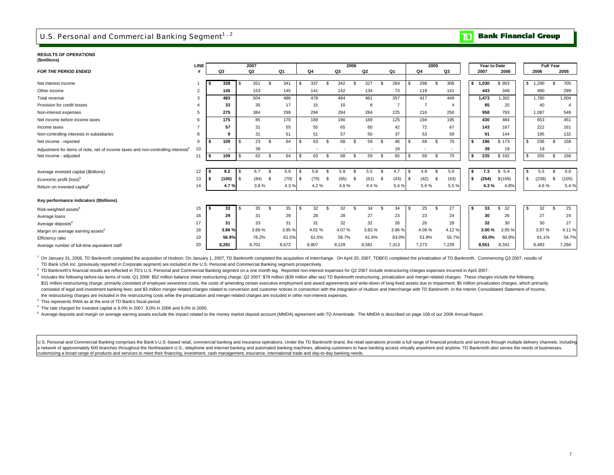# U.S. Personal and Commercial Banking Segment<sup>1, 2</sup>

#### **Bank Financial Group**  $\mathbf \overline{\mathbf D}$

#### **RESULTS OF OPERATIONS(\$millions)**

| ( PHILIPOITS )                                                                               | LINE           |    |       |     | 2007           |                |        |       |    | 2006           |       |      |       |     | 2005           |     |       | Year to Date |           |    |       | <b>Full Year</b> |       |
|----------------------------------------------------------------------------------------------|----------------|----|-------|-----|----------------|----------------|--------|-------|----|----------------|-------|------|-------|-----|----------------|-----|-------|--------------|-----------|----|-------|------------------|-------|
| <b>FOR THE PERIOD ENDED</b>                                                                  |                |    | Q3    |     | Q <sub>2</sub> |                | Q1     | Q4    |    | Q <sub>3</sub> | Q2    |      | Q1    |     | Q <sub>4</sub> |     | Q3    | 2007         | 2006      |    | 2006  |                  | 2005  |
|                                                                                              |                |    |       |     |                |                |        |       |    |                |       |      |       |     |                |     |       |              |           |    |       |                  |       |
| Net interest income                                                                          |                |    | 338   | \$. | 351            | -9             | 341    | 337   |    | 342            | 327   | £.   | 284   |     | 298            |     | 308   | \$1.030      | \$953     | S. | .290  | \$               | 705   |
| Other income                                                                                 | $\overline{2}$ |    | 145   |     | 153            |                | 145    | 141   |    | 142            | 134   |      | 73    |     | 119            |     | 141   | 443          | 349       |    | 490   |                  | 299   |
| Total revenue                                                                                | 3              |    | 483   |     | 504            |                | 486    | 478   |    | 484            | 461   |      | 357   |     | 417            |     | 449   | 1,473        | 1,302     |    | 1.780 |                  | 1.004 |
| Provision for credit losses                                                                  |                |    | 33    |     | 35             |                | 17     | 15    |    | 10             | 8     |      |       |     | $\overline{7}$ |     |       | 85           | 25        |    | 40    |                  |       |
| Non-interest expenses                                                                        | 5              |    | 275   |     | 384            |                | 299    | 294   |    | 284            | 284   |      | 225   |     | 216            |     | 250   | 958          | 793       |    | 1.087 |                  | 549   |
| Net income before income taxes                                                               | 6              |    | 175   |     | 85             |                | 170    | 169   |    | 190            | 169   |      | 125   |     | 194            |     | 195   | 430          | 484       |    | 653   |                  | 451   |
| Income taxes                                                                                 |                |    | 57    |     | 31             |                | 55     | 55    |    | 65             | 60    |      | 42    |     | 72             |     | 67    | 143          | 167       |    | 222   |                  | 161   |
| Non-controlling interests in subsidiaries                                                    |                |    | 9     |     | 31             |                | 51     | 51    |    | 57             | 50    |      | 37    |     | 53             |     | 58    | 91           | 144       |    | 195   |                  | 132   |
| Net income - reported                                                                        | 9              |    | 109   | \$. | 23             | - \$           | 64     | 63    |    | 68             | 59    | - \$ | 46    | £.  | 69             | -S  | 70    | 196<br>Ŝ.    | \$173     | -S | 236   |                  | 158   |
| Adjustment for items of note, net of income taxes and non-controlling interests <sup>3</sup> | 10             |    |       |     | 39             |                | ٠      |       |    |                |       |      | 19    |     |                |     |       | 39           | 19        |    | 19    |                  |       |
| Net income - adjusted                                                                        | 11             | Ŝ. | 109   | \$. | 62             | S.             | 64     | 63    | -8 | 68             | 59    | -S   | 65    | S   | 69             | -S  | 70    | 235<br>s.    | \$192     | -S | 255   | \$               | 158   |
|                                                                                              |                |    |       |     |                |                |        |       |    |                |       |      |       |     |                |     |       |              |           |    |       |                  |       |
| Average invested capital (\$billions)                                                        | 12             |    | 9.2   | S   | 6.7            | -9             | 5.9    | 5.8   |    | 5.9            | 5.5   |      | 4.7   | -S  | 4.9            | \$  | 5.0   | 7.3<br>Ŝ.    | \$5.4     | s. | 5.5   | S                | 5.0   |
| Economic profit (loss) <sup>5</sup>                                                          | 13             |    | (100) | \$. | (84)           | - \$           | (70)   | (70)  | -S | (65)           | (61)  | - \$ | (43)  | \$. | (42)           | -\$ | (43)  | (254)<br>\$  | \$(169)   | -S | (239) | - \$             | (105) |
| Return on invested capital <sup>5</sup>                                                      | 14             |    | 4.7%  |     | 3.8%           |                | 4.3%   | 4.2%  |    | 4.6%           | 4.4 % |      | 5.4%  |     | 5.6%           |     | 5.5%  | 4.3%         | 4.8%      |    | 4.6%  |                  | 5.4 % |
|                                                                                              |                |    |       |     |                |                |        |       |    |                |       |      |       |     |                |     |       |              |           |    |       |                  |       |
| Key performance indicators (\$billions)                                                      |                |    |       |     |                |                |        |       |    |                |       |      |       |     |                |     |       |              |           |    |       |                  |       |
| Risk-weighted assets <sup>4</sup>                                                            | 15             |    | 33    | S.  | 35             | $\mathfrak{S}$ | 35     | 32    |    | 32             | 34    | - \$ | 34    | £.  | 25             | ς.  | 27    | 33<br>s.     | 32<br>\$. | -S | 32    |                  | 25    |
| Average loans                                                                                | 16             |    | 29    |     | 31             |                | 29     | 28    |    | 28             | 27    |      | 23    |     | 23             |     | 24    | 30           | 26        |    | 27    |                  | 24    |
| Average deposits <sup>6</sup>                                                                | 17             |    | 31    |     | 33             |                | 31     | 31    |    | 32             | 32    |      | 26    |     | 26             |     | 28    | 32           | 30        |    | 30    |                  | 27    |
| Margin on average earning assets <sup>6</sup>                                                | 18             |    | 3.86% |     | 3.89%          |                | 3.95 % | 4.01% |    | 4.07%          | 3.83% |      | 3.96% |     | 4.09%          |     | 4.12% | 3.90%        | 3.95%     |    | 3.97% |                  | 4.11% |
| Efficiency ratio                                                                             | 19             |    | 56.9% |     | 76.2%          |                | 61.5%  | 61.5% |    | 58.7%          | 61.6% |      | 63.0% |     | 51.8%          |     | 55.7% | 65.0%        | 60.9%     |    | 61.1% |                  | 54.7% |
| Average number of full-time equivalent staff                                                 | 20             |    | 8,281 |     | 8,701          |                | 8,672  | 8,907 |    | 9,129          | 8,581 |      | 7,313 |     | 7,273          |     | 7,229 | 8,551        | 8,341     |    | 8,483 |                  | 7,284 |

<sup>1</sup> On January 31, 2006, TD Banknorth completed the acquisition of Hudson. On January 1, 2007, TD Banknorth completed the acquisition of Interchange. On April 20, 2007, TDBFG completed the privatization of TD Banknorth. Co TD Bank USA Inc. (previously reported in Corporate segment) are included in the U.S. Personal and Commercial Banking segment prospectively.

<sup>2</sup> TD Banknorth's financial results are reflected in TD's U.S. Personal and Commercial Banking segment on a one month lag. Reported non-interest expenses for Q2 2007 include restructuring charges expenses incurred in Apri

3 Includes the following before-tax items of note: Q1 2006: \$52 million balance sheet restructuring charge; Q2 2007: \$78 million (\$39 million after tax) TD Banknorth restructuring, privatization and merger-related charges. \$31 million restructuring charge, primarily consisted of employee severence costs, the costs of amending certain executive employment and award agreements and write-down of long-lived assets due to impairment; \$5 million p consisted of legal and investment banking fees; and \$3 million merger-related charges related to conversion and customer notices in connection with the integration of Hudson and Interchange with TD Banknorth. In the Interi 3 the restructuring charges are included in the restructuring costs while the privatization and merger-related charges are included in other non-interest expenses.

4 This represents RWA as at the end of TD Bank's fiscal period.

 $5$  The rate charged for invested capital is  $9.0\%$  in 2007,  $9.0\%$  in 2006 and  $9.0\%$  in 2005.

6 Average deposits and margin on average earning assets exclude the impact related to the money market deposit account (MMDA) agreement with TD Ameritrade. The MMDA is described on page 109 of our 2006 Annual Report.

U.S. Personal and Commercial Banking comprises the Bank's U.S.-based retail, commercial banking and insurance operations. Under the TD Banknorth brand, the retail operations provide a full range of financial products and s a network of approximately 600 branches throughout the Northeastern U.S., telephone and internet banking and automated banking machines, allowing customers to have banking access virtually anywhere and anytime. TD Banknort customizing a broad range of products and services to meet their financing, investment, cash management, insurance, international trade and day-to-day banking needs.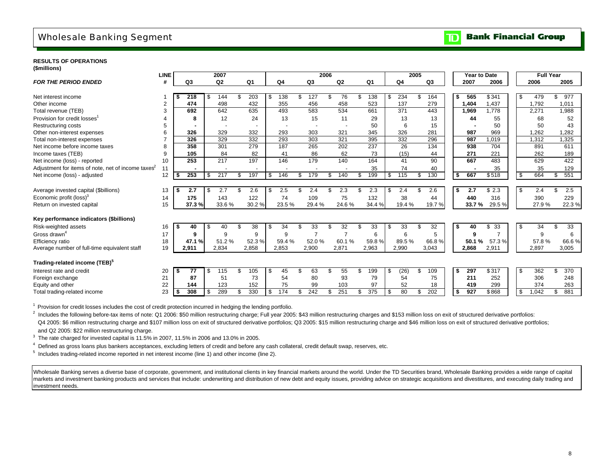# Wholesale Banking Segment

#### **Bank Financial Group**  $\mathbf{D}$

### **RESULTS OF OPERATIONS**

**(\$millions)**

|                                                   | <b>LINE</b> |      |                |      | 2007           |    |       |    |       |                          | 2006 |                |     |       |                       | 2005 |       |      | Year to Date |                     |      |       | <b>Full Year</b> |       |
|---------------------------------------------------|-------------|------|----------------|------|----------------|----|-------|----|-------|--------------------------|------|----------------|-----|-------|-----------------------|------|-------|------|--------------|---------------------|------|-------|------------------|-------|
| <b>FOR THE PERIOD ENDED</b>                       | #           |      | Q <sub>3</sub> |      | Q <sub>2</sub> |    | Q1    |    | Q4    | Q <sub>3</sub>           |      | Q <sub>2</sub> |     | Q1    | Q4                    |      | Q3    |      | 2007         | 2006                |      | 2006  |                  | 2005  |
|                                                   |             |      |                |      |                |    |       |    |       |                          |      |                |     |       |                       |      |       |      |              |                     |      |       |                  |       |
| Net interest income                               |             |      | 218            | \$   | 144            | \$ | 203   | \$ | 138   | 127                      | \$   | 76             | S   | 138   | \$<br>234             |      | 164   | - 5  | 565          | \$341               | - \$ | 479   | \$.              | 977   |
| Other income                                      | 2           |      | 474            |      | 498            |    | 432   |    | 355   | 456                      |      | 458            |     | 523   | 137                   |      | 279   |      | 1.404        | 1.437               |      | 1,792 |                  | 1.011 |
| Total revenue (TEB)                               | 3           |      | 692            |      | 642            |    | 635   |    | 493   | 583                      |      | 534            |     | 661   | 371                   |      | 443   |      | 1,969        | 1.778               |      | 2,271 |                  | 1,988 |
| Provision for credit losses                       | 4           |      | 8              |      | 12             |    | 24    |    | 13    | 15                       |      | 11             |     | 29    | 13                    |      | 13    |      | 44           | 55                  |      | 68    |                  | 52    |
| Restructuring costs                               | 5           |      |                |      |                |    |       |    |       | $\overline{\phantom{a}}$ |      |                |     | 50    | 6                     |      | 15    |      |              | 50                  |      | 50    |                  | 43    |
| Other non-interest expenses                       | 6           |      | 326            |      | 329            |    | 332   |    | 293   | 303                      |      | 321            |     | 345   | 326                   |      | 281   |      | 987          | 969                 |      | 1.262 |                  | 1.282 |
| Total non-interest expenses                       |             |      | 326            |      | 329            |    | 332   |    | 293   | 303                      |      | 321            |     | 395   | 332                   |      | 296   |      | 987          | 1.019               |      | 1,312 |                  | 1,325 |
| Net income before income taxes                    | 8           |      | 358            |      | 301            |    | 279   |    | 187   | 265                      |      | 202            |     | 237   | 26                    |      | 134   |      | 938          | 704                 |      | 891   |                  | 611   |
| Income taxes (TEB)                                | 9           |      | 105            |      | 84             |    | 82    |    | 41    | 86                       |      | 62             |     | 73    | (15)                  |      | 44    |      | 271          | 221                 |      | 262   |                  | 189   |
| Net income (loss) - reported                      | 10          |      | 253            |      | 217            |    | 197   |    | 146   | 179                      |      | 140            |     | 164   | 41                    |      | 90    |      | 667          | 483                 |      | 629   |                  | 422   |
| Adjustment for items of note, net of income taxes | 11          |      |                |      |                |    |       |    |       |                          |      |                |     | 35    | 74                    |      | 40    |      |              | 35                  |      | 35    |                  | 129   |
| Net income (loss) - adjusted                      | 12          | l \$ | 253            | \$   | 217            | \$ | 197   | \$ | 146   | \$<br>179                | \$   | 140            | \$  | 199   | \$<br>$\frac{115}{2}$ | \$   | 130   | \$   | 667          | \$518               | -\$  | 664   | \$               | 551   |
|                                                   |             |      |                |      |                |    |       |    |       |                          |      |                |     |       |                       |      |       |      |              |                     |      |       |                  |       |
| Average invested capital (\$billions)             | 13          |      | 2.7            | - \$ | 2.7            |    | 2.6   |    | 2.5   | 2.4                      |      | 2.3            |     | 2.3   | \$<br>2.4             |      | 2.6   |      | 2.7          | $\overline{\$}$ 2.3 | - \$ | 2.4   |                  | 2.5   |
| Economic profit (loss) <sup>3</sup>               | 14          |      | 175            |      | 143            |    | 122   |    | 74    | 109                      |      | 75             |     | 132   | 38                    |      | 44    |      | 440          | 316                 |      | 390   |                  | 229   |
| Return on invested capital                        | 15          |      | 37.3%          |      | 33.6%          |    | 30.2% |    | 23.5% | 29.4%                    |      | 24.6%          |     | 34.4% | 19.4%                 |      | 19.7% |      | 33.7%        | 29.5%               |      | 27.9% |                  | 22.3% |
|                                                   |             |      |                |      |                |    |       |    |       |                          |      |                |     |       |                       |      |       |      |              |                     |      |       |                  |       |
| Key performance indicators (\$billions)           |             |      |                |      |                |    |       |    |       |                          |      |                |     |       |                       |      |       |      |              |                     |      |       |                  |       |
| Risk-weighted assets                              | 16          | - 56 | 40             | - \$ | 40             | £. | 38    | £. | 34    | 33                       | \$.  | 32             | \$. | 33    | \$<br>33              | \$   | 32    | Ŝ.   | 40           | 33<br>\$            | - \$ | 34    | \$.              | 33    |
| Gross drawn <sup>4</sup>                          | 17          |      | 9              |      | 9              |    | 9     |    | 9     | $\overline{7}$           |      | $\overline{7}$ |     | 6     | 6                     |      | 5     |      | q            |                     |      | 9     |                  | 6     |
| Efficiency ratio                                  | 18          |      | 47.1%          |      | 51.2%          |    | 52.3% |    | 59.4% | 52.0%                    |      | 60.1%          |     | 59.8% | 89.5%                 |      | 66.8% |      | 50.1<br>℅    | 57.3%               |      | 57.8% |                  | 66.6% |
| Average number of full-time equivalent staff      | 19          |      | 2,911          |      | 2,834          |    | 2.858 |    | 2.853 | 2,900                    |      | 2,871          |     | 2,963 | 2,990                 |      | 3.043 |      | 2,868        | 2,911               |      | 2,897 |                  | 3,005 |
|                                                   |             |      |                |      |                |    |       |    |       |                          |      |                |     |       |                       |      |       |      |              |                     |      |       |                  |       |
| Trading-related income (TEB) <sup>5</sup>         |             |      |                |      |                |    |       |    |       |                          |      |                |     |       |                       |      |       |      |              |                     |      |       |                  |       |
| Interest rate and credit                          | 20          | - 56 | 77             | \$   | 115            | \$ | 105   | \$ | 45    | 63                       | \$   | 55             | \$  | 199   | \$<br>(26)            | £.   | 109   | - 56 | 297          | \$317               | -\$  | 362   | \$               | 370   |
| Foreign exchange                                  | 21          |      | 87             |      | 51             |    | 73    |    | 54    | 80                       |      | 93             |     | 79    | 54                    |      | 75    |      | 211          | 252                 |      | 306   |                  | 248   |
| Equity and other                                  | 22          |      | 144            |      | 123            |    | 152   |    | 75    | 99                       |      | 103            |     | 97    | 52                    |      | 18    |      | 419          | 299                 |      | 374   |                  | 263   |
| Total trading-related income                      | 23          | \$   | 308            | \$   | 289            | \$ | 330   | \$ | 174   | 242                      | \$   | 251            |     | 375   | \$<br>80              |      | 202   | -\$  | 927          | \$868               | -\$  | 1,042 | \$               | 881   |
|                                                   |             |      |                |      |                |    |       |    |       |                          |      |                |     |       |                       |      |       |      |              |                     |      |       |                  |       |

<sup>1</sup> Provision for credit losses includes the cost of credit protection incurred in hedging the lending portfolio.

<sup>2</sup> Includes the following before-tax items of note: Q1 2006: \$50 million restructuring charge; Full year 2005: \$43 million restructuring charges and \$153 million loss on exit of structured derivative portfolios: Q4 2005: \$6 million restructuring charge and \$107 million loss on exit of structured derivative portfolios; Q3 2005: \$15 million restructuring charge and \$46 million loss on exit of structured derivative portfolios; and Q2 2005: \$22 million restructuring charge.

<sup>3</sup> The rate charged for invested capital is 11.5% in 2007, 11.5% in 2006 and 13.0% in 2005.

4 Defined as gross loans plus bankers acceptances, excluding letters of credit and before any cash collateral, credit default swap, reserves, etc.

5 Includes trading-related income reported in net interest income (line 1) and other income (line 2).

Wholesale Banking serves a diverse base of corporate, government, and institutional clients in key financial markets around the world. Under the TD Securities brand, Wholesale Banking provides a wide range of capital markets and investment banking products and services that include: underwriting and distribution of new debt and equity issues, providing advice on strategic acquisitions and divestitures, and executing daily trading and investment needs.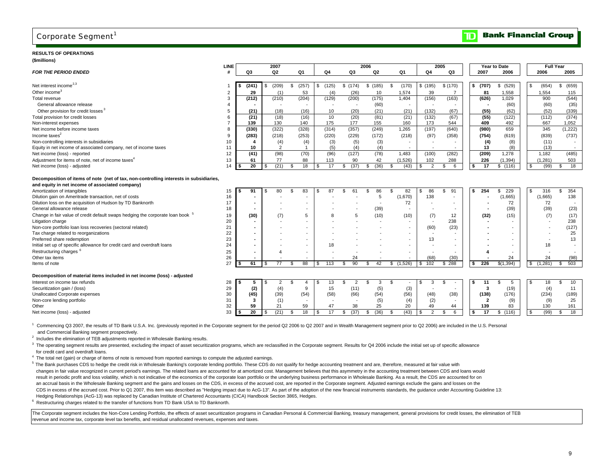# Corporate Segment<sup>1</sup>

#### **RESULTS OF OPERATIONS(\$millions)**

| (ammons)                                                                                  | LINE           |            |                          | 2007                  |                          |     |                          |            | 2006        |     |                |                          | 2005                     |     |                         | Year to Date |                | <b>Full Year</b>         |                          |  |
|-------------------------------------------------------------------------------------------|----------------|------------|--------------------------|-----------------------|--------------------------|-----|--------------------------|------------|-------------|-----|----------------|--------------------------|--------------------------|-----|-------------------------|--------------|----------------|--------------------------|--------------------------|--|
| <b>FOR THE PERIOD ENDED</b>                                                               |                | Q3         |                          | Q <sub>2</sub>        | Q1                       |     | Q4                       | Q3         | Q2          |     | Q1             | Q <sub>4</sub>           | Q3                       |     | 2007                    | 2006         |                | 2006                     | 2005                     |  |
|                                                                                           |                |            |                          |                       |                          |     |                          |            |             |     |                |                          |                          |     |                         |              |                |                          |                          |  |
| Net interest income <sup>2,3</sup>                                                        |                | (241)      |                          | (209)<br>\$           | \$<br>(257)              |     | \$(125)                  | \$(174)    | \$(185)     | -S  | (170)          | \$(195)                  | \$(170)                  |     | \$ (707)                | \$ (529)     | - \$           | (654)                    | (659)<br>\$              |  |
| Other income <sup>3</sup>                                                                 | $\overline{2}$ | 29         |                          | (1)                   | 53                       |     | (4)                      | (26)       | 10          |     | 1,574          | 39                       | $\overline{7}$           |     | 81                      | 1,558        |                | 1,554                    | 115                      |  |
| Total revenue                                                                             | 3              | (212)      |                          | (210)                 | (204)                    |     | (129)                    | (200)      | (175)       |     | 1,404          | (156)                    | (163)                    |     | (626)                   | 1,029        |                | 900                      | (544)                    |  |
| General allowance release                                                                 | 4              |            |                          |                       | $\overline{\phantom{a}}$ |     | $\overline{\phantom{a}}$ |            | (60)        |     | $\overline{a}$ | $\overline{\phantom{a}}$ | $\overline{\phantom{a}}$ |     |                         | (60)         |                | (60)                     | (35)                     |  |
| Other provision for credit losses <sup>3</sup>                                            | 5              | (21)       |                          | (18)                  | (16)                     |     | 10                       | (20)       | (21)        |     | (21)           | (132)                    | (67)                     |     | (55)                    | (62)         |                | (52)                     | (339)                    |  |
| Total provision for credit losses                                                         | 6              | (21)       |                          | (18)                  | (16)                     |     | 10                       | (20)       | (81)        |     | (21)           | (132)                    | (67)                     |     | (55)                    | (122)        |                | (112)                    | (374)                    |  |
| Non-interest expenses                                                                     | $\overline{7}$ | 139        |                          | 130                   | 140                      |     | 175                      | 177        | 155         |     | 160            | 173                      | 544                      |     | 409                     | 492          |                | 667                      | 1.052                    |  |
| Net income before income taxes                                                            | 8              | (330)      |                          | (322)                 | (328)                    |     | (314)                    | (357)      | (249)       |     | 1.265          | (197)                    | (640)                    |     | (980)                   | 659          |                | 345                      | (1, 222)                 |  |
| Income taxes $2$                                                                          | 9              | (283)      |                          | (218)                 | (253)                    |     | (220)                    | (229)      | (172)       |     | (218)          | (97)                     | (358)                    |     | (754)                   | (619)        |                | (839)                    | (737)                    |  |
| Non-controlling interests in subsidiaries                                                 | 10             | -4         |                          | (4)                   | (4)                      |     | (3)                      | (5)        | (3)         |     |                |                          |                          |     | (4)                     | (8)          |                | (11)                     |                          |  |
| Equity in net income of associated company, net of income taxes                           | 11             | 10         |                          | 2                     | $\mathbf{1}$             |     | (5)                      | (4)        | (4)         |     |                |                          |                          |     | 13                      | (8)          |                | (13)                     |                          |  |
| Net income (loss) - reported                                                              | 12             | (41)       |                          | (98)                  | (70)                     |     | (96)                     | (127)      | (78)        |     | 1.483          | (100)                    | (282)                    |     | (209)                   | 1.278        |                | 1,182                    | (485)                    |  |
| Adjustment for items of note, net of income taxes <sup>4</sup>                            | 13             | 61         |                          | 77                    | 88                       |     | 113                      | 90         | 42          |     | (1,526)        | 102                      | 288                      |     | 226                     | (1, 394)     |                | (1, 281)                 | 503                      |  |
| Net income (loss) - adjusted                                                              | 14             | 20<br>l \$ |                          | (21)                  | 18<br>\$                 | \$  | 17                       | \$<br>(37) | (36)<br>\$  | \$  | (43)           | 2<br>- \$                | \$<br>6                  |     | 17                      | \$(116)      | \$             | (99)                     | - \$<br>18               |  |
|                                                                                           |                |            |                          |                       |                          |     |                          |            |             |     |                |                          |                          |     |                         |              |                |                          |                          |  |
| Decomposition of items of note (net of tax, non-controlling interests in subsidiaries,    |                |            |                          |                       |                          |     |                          |            |             |     |                |                          |                          |     |                         |              |                |                          |                          |  |
| and equity in net income of associated company)                                           |                |            |                          |                       |                          |     |                          |            |             |     |                |                          |                          |     |                         |              |                |                          |                          |  |
| Amortization of intangibles                                                               | 15             | 91         |                          | 80                    | 83<br>\$.                |     | 87                       | 61         | 86<br>\$.   | S   | 82             | 86                       | 91<br>\$                 | \$. | 254                     | 229<br>\$    | - \$           | 316                      | 354<br>\$                |  |
| Dilution gain on Ameritrade transaction, net of costs                                     | 16             |            |                          |                       |                          |     |                          |            | 5           |     | (1.670)        | 138                      | $\overline{\phantom{a}}$ |     |                         | (1,665)      |                | (1,665)                  | 138                      |  |
| Dilution loss on the acquisition of Hudson by TD Banknorth                                | 17             |            | $\overline{\phantom{a}}$ |                       |                          |     |                          |            |             |     | 72             |                          |                          |     |                         | 72           |                | 72                       | $\overline{\phantom{a}}$ |  |
| General allowance release                                                                 | 18             |            | $\overline{\phantom{a}}$ |                       |                          |     |                          |            | (39)        |     |                |                          | $\overline{\phantom{a}}$ |     |                         | (39)         |                | (39)                     | (23)                     |  |
| Change in fair value of credit default swaps hedging the corporate loan book <sup>5</sup> | 19             | (30)       |                          | (7)                   |                          |     | 8                        | 5          | (10)        |     | (10)           | (7)                      | 12                       |     | (32)                    | (15)         |                | (7)                      | (17)                     |  |
| Litigation charge                                                                         | 20             |            | ٠                        |                       |                          |     |                          |            |             |     |                |                          | 238                      |     |                         |              |                |                          | 238                      |  |
| Non-core portfolio loan loss recoveries (sectoral related)                                | 21             |            | $\overline{\phantom{a}}$ |                       |                          |     |                          |            |             |     |                | (60)                     | (23)                     |     |                         |              |                | $\overline{\phantom{a}}$ | (127)                    |  |
| Tax charge related to reorganizations                                                     | 22             |            | $\overline{\phantom{a}}$ |                       |                          |     |                          |            |             |     |                |                          |                          |     |                         |              |                |                          | 25                       |  |
| Preferred share redemption                                                                | 23             |            | $\overline{\phantom{a}}$ |                       |                          |     |                          |            |             |     |                | 13                       |                          |     |                         |              |                |                          | 13                       |  |
| Initial set up of specific allowance for credit card and overdraft loans                  | 24             |            |                          |                       |                          |     | 18                       |            |             |     |                |                          |                          |     |                         |              |                | 18                       |                          |  |
| Restructuring charges                                                                     | 25             |            |                          | $\boldsymbol{\Delta}$ |                          |     |                          |            |             |     |                |                          |                          |     |                         |              |                |                          |                          |  |
| Other tax items                                                                           | 26             |            |                          |                       |                          |     |                          | 24         |             |     |                | (68)                     | (30)                     |     |                         | 24           |                | 24                       | (98)                     |  |
| Items of note                                                                             | 27             | 61         |                          | 77                    | 88<br>-S                 | \$. | 113                      | 90<br>-96  | 42<br>-S    | \$  | (1,526)        | 102<br>\$.               | $$ \frac{288}{ }$        |     | 226                     | \$(1,394)    | \$.            | (1, 281)                 | 503<br>S                 |  |
| Decomposition of material items included in net income (loss) - adjusted                  |                |            |                          |                       |                          |     |                          |            |             |     |                |                          |                          |     |                         |              |                |                          |                          |  |
| Interest on income tax refunds                                                            | 28             | 5          |                          |                       |                          |     | 13                       | 2          | 3<br>-S     | \$. |                | 3                        | £.                       |     | 11                      | 5            |                |                          | \$                       |  |
| Securitization gain / (loss)                                                              | 29             | (2)        |                          | 2<br>(4)              | 4<br>9                   |     | 15                       | (11)       | (5)         |     | (3)            |                          | $\blacksquare$           |     | 3                       | (19)         |                | 18<br>(4)                | 10<br>11                 |  |
| Unallocated Corporate expenses                                                            | 30             | (45)       |                          | (39)                  | (54)                     |     | (58)                     | (66)       | (54)        |     | (56)           | (48)                     | (38)                     |     | (138)                   | (176)        |                | (234)                    | (189)                    |  |
| Non-core lending portfolio                                                                | 31             | 3          |                          | (1)                   |                          |     | $\overline{\phantom{a}}$ |            | (5)         |     | (4)            | (2)                      | $\overline{\phantom{a}}$ |     | $\overline{\mathbf{2}}$ | (9)          |                | (9)                      | 25                       |  |
| Other                                                                                     | 32             | 59         |                          | 21                    | 59                       |     | 47                       | 38         | 25          |     | 20             | 49                       | 44                       |     | 139                     | 83           |                | 130                      | 161                      |  |
| Net income (loss) - adjusted                                                              | 33             | 20<br>Ŝ.   |                          | (21)                  | 18<br>\$                 |     | 17                       | (37)<br>\$ | (36)<br>\$. |     | (43)           | $\overline{2}$           | \$<br>6                  |     | 17                      | \$(116)      | $\mathfrak{L}$ | (99)                     | 18<br>\$                 |  |
|                                                                                           |                |            |                          |                       |                          |     |                          |            |             |     |                |                          |                          |     |                         |              |                |                          |                          |  |
|                                                                                           |                |            |                          |                       |                          |     |                          |            |             |     |                |                          |                          |     |                         |              |                |                          |                          |  |

<sup>1</sup> Commencing Q3 2007, the results of TD Bank U.S.A. Inc. (previously reported in the Corporate segment for the period Q2 2006 to Q2 2007 and in Wealth Management segment prior to Q2 2006) are included in the U.S. Persona and Commercial Banking segment prospectively.

<sup>2</sup> Includes the elimination of TEB adjustments reported in Wholesale Banking results.

<sup>3</sup> The operating segment results are presented, excluding the impact of asset securitization programs, which are reclassified in the Corporate segment. Results for Q4 2006 include the initial set up of specific allowance for credit card and overdraft loans.

<sup>4</sup> The total net (gain) or charge of items of note is removed from reported earnings to compute the adjusted earnings.

<sup>5</sup> The Bank purchases CDS to hedge the credit risk in Wholesale Banking's corporate lending portfolio. These CDS do not qualify for hedge accounting treatment and are, therefore, measured at fair value with changes in fair value recognized in current period's earnings. The related loans are accounted for at amortized cost. Management believes that this asymmetry in the accounting treatment between CDS and loans would result in periodic profit and loss volatility, which is not indicative of the economics of the corporate loan portfolio or the underlying business performance in Wholesale Banking. As a result, the CDS are accounted for on an accrual basis in the Wholesale Banking segment and the gains and losses on the CDS, in excess of the accrued cost, are reported in the Corporate segment. Adjusted earnings exclude the gains and losses on the CDS in excess of the accrued cost. Prior to Q1 2007, this item was described as "Hedging impact due to AcG-13". As part of the adoption of the new financial instruments standards, the guidance under Accounting Guideline 13 Hedging Relationships (AcG-13) was replaced by Canadian Institute of Chartered Accountants (CICA) Handbook Section 3865, Hedges.

<sup>6</sup> Restructuring charges related to the transfer of functions from TD Bank USA to TD Banknorth.

The Corporate segment includes the Non-Core Lending Portfolio, the effects of asset securitization programs in Canadian Personal & Commercial Banking, treasury management, general provisions for credit losses, the eliminat revenue and income tax, corporate level tax benefits, and residual unallocated revenues, expenses and taxes.

#### 9

 $\overline{\mathbf{D}}$ 

**Bank Financial Group**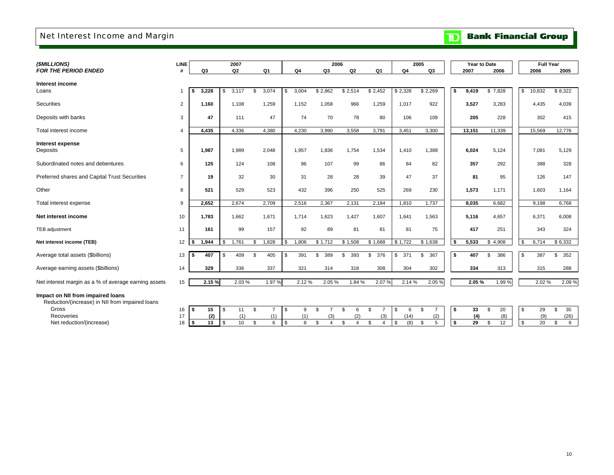# Net Interest Income and Margin

# **TD** Bank Financial Group

| (\$MILLIONS)                                                                         | <b>LINE</b>    |     |                | 2007        |                      |             | 2006                 |                |                      |           | 2005                 |      | Year to Date |                       | <b>Full Year</b> |           |
|--------------------------------------------------------------------------------------|----------------|-----|----------------|-------------|----------------------|-------------|----------------------|----------------|----------------------|-----------|----------------------|------|--------------|-----------------------|------------------|-----------|
| <b>FOR THE PERIOD ENDED</b>                                                          | #              |     | Q <sub>3</sub> | Q2          | Q1                   | Q4          | Q3                   | Q <sub>2</sub> | Q1                   | Q4        | Q3                   |      | 2007         | 2006                  | 2006             | 2005      |
| Interest income                                                                      |                |     |                |             |                      |             |                      |                |                      |           |                      |      |              |                       |                  |           |
| Loans                                                                                | $\overline{1}$ | s   | 3.228          | 3,117<br>\$ | \$<br>3,074          | \$<br>3,004 | \$2,862              | \$2,514        | \$2,452              | \$2,328   | \$2,269              | - \$ | 9,419        | \$7,828               | \$<br>10,832     | \$8,322   |
| Securities                                                                           | 2              |     | 1,160          | 1,108       | 1,259                | 1,152       | 1,058                | 966            | 1,259                | 1,017     | 922                  |      | 3,527        | 3,283                 | 4,435            | 4,039     |
| Deposits with banks                                                                  | 3              |     | 47             | 111         | 47                   | 74          | 70                   | 78             | 80                   | 106       | 109                  |      | 205          | 228                   | 302              | 415       |
| Total interest income                                                                | $\overline{4}$ |     | 4,435          | 4,336       | 4,380                | 4,230       | 3,990                | 3,558          | 3,791                | 3,451     | 3,300                |      | 13,151       | 11,339                | 15,569           | 12,776    |
| <b>Interest expense</b>                                                              |                |     |                |             |                      |             |                      |                |                      |           |                      |      |              |                       |                  |           |
| Deposits                                                                             | 5              |     | 1,987          | 1,989       | 2,048                | 1,957       | 1,836                | 1,754          | 1,534                | 1,410     | 1,388                |      | 6,024        | 5,124                 | 7,081            | 5,129     |
| Subordinated notes and debentures                                                    | 6              |     | 125            | 124         | 108                  | 96          | 107                  | 99             | 86                   | 84        | 82                   |      | 357          | 292                   | 388              | 328       |
| Preferred shares and Capital Trust Securities                                        | $\overline{7}$ |     | 19             | 32          | 30                   | 31          | 28                   | 28             | 39                   | 47        | 37                   |      | 81           | 95                    | 126              | 147       |
| Other                                                                                | 8              |     | 521            | 529         | 523                  | 432         | 396                  | 250            | 525                  | 269       | 230                  |      | 1,573        | 1,171                 | 1,603            | 1,164     |
| Total interest expense                                                               | 9              |     | 2,652          | 2,674       | 2,709                | 2,516       | 2,367                | 2,131          | 2,184                | 1,810     | 1,737                |      | 8,035        | 6,682                 | 9,198            | 6,768     |
| Net interest income                                                                  | 10             |     | 1,783          | 1,662       | 1,671                | 1,714       | 1,623                | 1,427          | 1,607                | 1,641     | 1,563                |      | 5,116        | 4,657                 | 6,371            | 6,008     |
| TEB adjustment                                                                       | 11             |     | 161            | 99          | 157                  | 92          | 89                   | 81             | 81                   | 81        | 75                   |      | 417          | 251                   | 343              | 324       |
| Net interest income (TEB)                                                            | 12             | s.  | 1,944          | 1,761<br>\$ | \$<br>1,828          | \$<br>1,806 | \$1,712              | \$1,508        | \$1,688              | \$1,722   | \$1,638              | -\$  | 5,533        | \$4,908               | \$<br>6,714      | \$6,332   |
| Average total assets (\$billions)                                                    | 13             | - 5 | 407            | 409<br>\$   | \$<br>405            | \$<br>391   | 389<br>\$            | 393<br>\$      | \$<br>376            | 371<br>\$ | \$<br>367            | -\$  | 407          | 386<br>\$             | \$<br>387        | \$<br>352 |
| Average earning assets (\$billions)                                                  | 14             |     | 329            | 336         | 337                  | 321         | 314                  | 318            | 308                  | 304       | 302                  |      | 334          | 313                   | 315              | 288       |
| Net interest margin as a % of average earning assets                                 | 15             |     | 2.15 %         | 2.03%       | 1.97%                | 2.12 %      | 2.05%                | 1.84 %         | 2.07%                | 2.14 %    | 2.05 %               |      | 2.05%        | 1.99%                 | 2.02%            | 2.09%     |
| Impact on NII from impaired loans<br>Reduction/(increase) in NII from impaired loans |                |     |                |             |                      |             |                      |                |                      |           |                      |      |              |                       |                  |           |
| Gross                                                                                | 16             | \$  | 15             | \$<br>11    | \$<br>$\overline{7}$ | \$<br>9     | \$<br>$\overline{7}$ | \$<br>6        | \$<br>$\overline{7}$ | \$<br>6   | \$<br>$\overline{7}$ | -\$  | 33           | 20<br>$\mathcal{F}$   | \$<br>29         | \$<br>35  |
| Recoveries                                                                           | 17             |     | (2)            | (1)         | (1)                  | (1)         | (3)                  |                | (3)                  | (14)      | (2)                  |      | (4)          | (8)                   | (9)              | (26)      |
| Net reduction/(increase)                                                             | 18             | -\$ | 13             | 10<br>\$    | \$<br>6              | \$<br>8     | \$<br>$\Delta$       |                | \$<br>4              | (8)<br>S  | \$<br>5              | \$   | 29           | $\overline{12}$<br>\$ | \$<br>20         | \$<br>9   |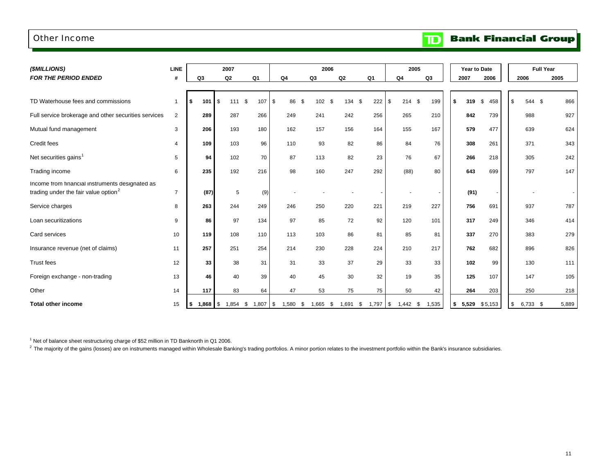### Other Income

**Bank Financial Group**  $\mathbf{D}$ 

| (\$MILLIONS)                                                                                        | <b>LINE</b>    |    |                    | 2007             |                |                |            | 2006       |            |                | 2005           |                |    |             | Year to Date             |                | <b>Full Year</b> |
|-----------------------------------------------------------------------------------------------------|----------------|----|--------------------|------------------|----------------|----------------|------------|------------|------------|----------------|----------------|----------------|----|-------------|--------------------------|----------------|------------------|
| <b>FOR THE PERIOD ENDED</b>                                                                         | #              | Q3 |                    | Q2               | Q <sub>1</sub> | Q <sub>4</sub> |            | Q3         | Q2         | Q <sub>1</sub> | Q <sub>4</sub> | Q <sub>3</sub> |    | 2007        | 2006                     | 2006           | 2005             |
|                                                                                                     |                |    |                    |                  |                |                |            |            |            |                |                |                |    |             |                          |                |                  |
| TD Waterhouse fees and commissions                                                                  | $\mathbf{1}$   | S. | 101                | 111S<br><b>S</b> | 107            | l \$           | 86<br>\$   | 102        | \$<br>134  | 222<br>\$      | \$<br>214      | \$<br>199      |    | \$<br>319   | 458<br>\$                | \$<br>544 \$   | 866              |
| Full service brokerage and other securities services                                                | 2              |    | 289                | 287              | 266            | 249            |            | 241        | 242        | 256            | 265            | 210            |    | 842         | 739                      | 988            | 927              |
| Mutual fund management                                                                              | 3              |    | 206                | 193              | 180            | 162            |            | 157        | 156        | 164            | 155            | 167            |    | 579         | 477                      | 639            | 624              |
| Credit fees                                                                                         | $\overline{4}$ |    | 109                | 103              | 96             | 110            |            | 93         | 82         | 86             | 84             |                | 76 | 308         | 261                      | 371            | 343              |
| Net securities gains <sup>1</sup>                                                                   | 5              |    | 94                 | 102              | 70             | 87             |            | 113        | 82         | 23             | 76             |                | 67 | 266         | 218                      | 305            | 242              |
| Trading income                                                                                      | 6              |    | 235                | 192              | 216            | 98             |            | 160        | 247        | 292            | (88)           |                | 80 | 643         | 699                      | 797            | 147              |
| Income from financial instruments designated as<br>trading under the fair value option <sup>2</sup> | $\overline{7}$ |    | (87)               | 5                | (9)            |                |            |            |            |                |                |                |    | (91)        | $\overline{\phantom{a}}$ |                |                  |
| Service charges                                                                                     | 8              |    | 263                | 244              | 249            | 246            |            | 250        | 220        | 221            | 219            | 227            |    | 756         | 691                      | 937            | 787              |
| Loan securitizations                                                                                | 9              |    | 86                 | 97               | 134            | 97             |            | 85         | 72         | 92             | 120            | 101            |    | 317         | 249                      | 346            | 414              |
| Card services                                                                                       | 10             |    | 119                | 108              | 110            | 113            |            | 103        | 86         | 81             | 85             |                | 81 | 337         | 270                      | 383            | 279              |
| Insurance revenue (net of claims)                                                                   | 11             |    | 257                | 251              | 254            | 214            |            | 230        | 228        | 224            | 210            | 217            |    | 762         | 682                      | 896            | 826              |
| <b>Trust fees</b>                                                                                   | 12             |    | 33                 | 38               | 31             | 31             |            | 33         | 37         | 29             | 33             |                | 33 | 102         | 99                       | 130            | 111              |
| Foreign exchange - non-trading                                                                      | 13             |    | 46                 | 40               | 39             | 40             |            | 45         | 30         | 32             | 19             |                | 35 | 125         | 107                      | 147            | 105              |
| Other                                                                                               | 14             |    | 117                | 83               | 64             | 47             |            | 53         | 75         | 75             | 50             |                | 42 | 264         | 203                      | 250            | 218              |
| <b>Total other income</b>                                                                           | 15             | \$ | $1,868$ $\sqrt{5}$ | $1,854$ \$       | $1,807$ \$     |                | $1,580$ \$ | $1,665$ \$ | $1,691$ \$ | $1,797$ \$     | $1,442$ \$     | 1,535          |    | 5,529<br>\$ | \$5,153                  | \$<br>6,733 \$ | 5,889            |

 $1$  Net of balance sheet restructuring charge of \$52 million in TD Banknorth in Q1 2006.

<sup>2</sup> The majority of the gains (losses) are on instruments managed within Wholesale Banking's trading portfolios. A minor portion relates to the investment portfolio within the Bank's insurance subsidiaries.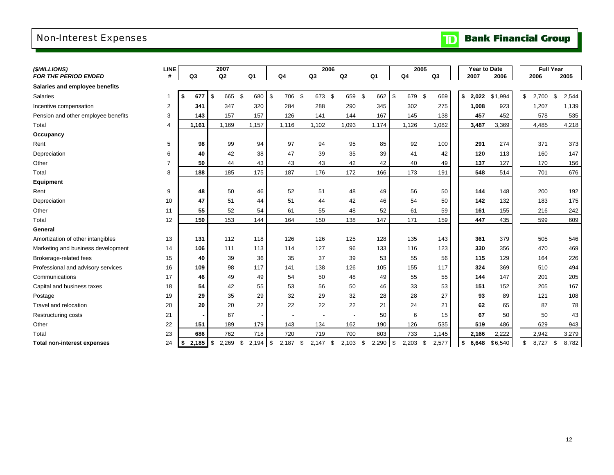# Non-Interest Expenses

### **Bank Financial Group**  $\mathbf{D}$

| (\$MILLIONS)                        | <b>LINE</b> |                  | 2007                                       |                |                  | 2006           |       |                  | 2005           |                | <b>Year to Date</b> |         | <b>Full Year</b> |             |
|-------------------------------------|-------------|------------------|--------------------------------------------|----------------|------------------|----------------|-------|------------------|----------------|----------------|---------------------|---------|------------------|-------------|
| <b>FOR THE PERIOD ENDED</b>         | #           | Q3               | Q2                                         | Q <sub>1</sub> | Q <sub>4</sub>   | Q3             | Q2    | Q <sub>1</sub>   | Q <sub>4</sub> | Q <sub>3</sub> | 2007                | 2006    | 2006             | 2005        |
| Salaries and employee benefits      |             |                  |                                            |                |                  |                |       |                  |                |                |                     |         |                  |             |
| Salaries                            | 1           | \$<br>677        | $1$ \$<br>$\boldsymbol{\mathsf{s}}$<br>665 | 680 \$         | 706              | - \$<br>673 \$ | 659   | \$<br>662        | \$<br>679      | - \$<br>669    | \$<br>2,022         | \$1,994 | \$<br>2,700      | \$<br>2,544 |
| Incentive compensation              | 2           | 341              | 347                                        | 320            | 284              | 288            | 290   | 345              | 302            | 275            | 1,008               | 923     | 1,207            | 1,139       |
| Pension and other employee benefits | 3           | 143              | 157                                        | 157            | 126              | 141            | 144   | 167              | 145            | 138            | 457                 | 452     | 578              | 535         |
| Total                               | 4           | 1,161            | 1,169                                      | 1,157          | 1,116            | 1,102          | 1,093 | 1,174            | 1,126          | 1,082          | 3,487               | 3,369   | 4,485            | 4,218       |
| Occupancy                           |             |                  |                                            |                |                  |                |       |                  |                |                |                     |         |                  |             |
| Rent                                | 5           | 98               | 99                                         | 94             | 97               | 94             | 95    | 85               | 92             | 100            | 291                 | 274     | 371              | 373         |
| Depreciation                        | 6           | 40               | 42                                         | 38             | 47               | 39             | 35    | 39               | 41             | 42             | 120                 | 113     | 160              | 147         |
| Other                               | 7           | 50               | 44                                         | 43             | 43               | 43             | 42    | 42               | 40             | 49             | 137                 | 127     | 170              | 156         |
| Total                               | 8           | 188              | 185                                        | 175            | 187              | 176            | 172   | 166              | 173            | 191            | 548                 | 514     | 701              | 676         |
| <b>Equipment</b>                    |             |                  |                                            |                |                  |                |       |                  |                |                |                     |         |                  |             |
| Rent                                | 9           | 48               | 50                                         | 46             | 52               | 51             | 48    | 49               | 56             | 50             | 144                 | 148     | 200              | 192         |
| Depreciation                        | 10          | 47               | 51                                         | 44             | 51               | 44             | 42    | 46               | 54             | 50             | 142                 | 132     | 183              | 175         |
| Other                               | 11          | 55               | 52                                         | 54             | 61               | 55             | 48    | 52               | 61             | 59             | 161                 | 155     | 216              | 242         |
| Total                               | 12          | 150              | 153                                        | 144            | 164              | 150            | 138   | 147              | 171            | 159            | 447                 | 435     | 599              | 609         |
| General                             |             |                  |                                            |                |                  |                |       |                  |                |                |                     |         |                  |             |
| Amortization of other intangibles   | 13          | 131              | 112                                        | 118            | 126              | 126            | 125   | 128              | 135            | 143            | 361                 | 379     | 505              | 546         |
| Marketing and business development  | 14          | 106              | 111                                        | 113            | 114              | 127            | 96    | 133              | 116            | 123            | 330                 | 356     | 470              | 469         |
| Brokerage-related fees              | 15          | 40               | 39                                         | 36             | 35               | 37             | 39    | 53               | 55             | 56             | 115                 | 129     | 164              | 226         |
| Professional and advisory services  | 16          | 109              | 98                                         | 117            | 141              | 138            | 126   | 105              | 155            | 117            | 324                 | 369     | 510              | 494         |
| Communications                      | 17          | 46               | 49                                         | 49             | 54               | 50             | 48    | 49               | 55             | 55             | 144                 | 147     | 201              | 205         |
| Capital and business taxes          | 18          | 54               | 42                                         | 55             | 53               | 56             | 50    | 46               | 33             | 53             | 151                 | 152     | 205              | 167         |
| Postage                             | 19          | 29               | 35                                         | 29             | 32               | 29             | 32    | 28               | 28             | 27             | 93                  | 89      | 121              | 108         |
| Travel and relocation               | 20          | 20               | 20                                         | 22             | 22               | 22             | 22    | 21               | 24             | 21             | 62                  | 65      | 87               | 78          |
| <b>Restructuring costs</b>          | 21          |                  | 67                                         |                |                  |                |       | 50               | 6              | 15             | 67                  | 50      | 50               | 43          |
| Other                               | 22          | 151              | 189                                        | 179            | 143              | 134            | 162   | 190              | 126            | 535            | 519                 | 486     | 629              | 943         |
| Total                               | 23          | 686              | 762                                        | 718            | 720              | 719            | 700   | 803              | 733            | 1,145          | 2,166               | 2,222   | 2,942            | 3,279       |
| <b>Total non-interest expenses</b>  | 24          | $2,185$ \$<br>\$ | \$<br>2,269                                | 2,194          | \$<br>$2,187$ \$ | $2,147$ \$     | 2,103 | $2,290$ \$<br>\$ | 2,203          | \$<br>2.577    | \$<br>6,648         | \$6,540 | \$<br>8,727 \$   | 8,782       |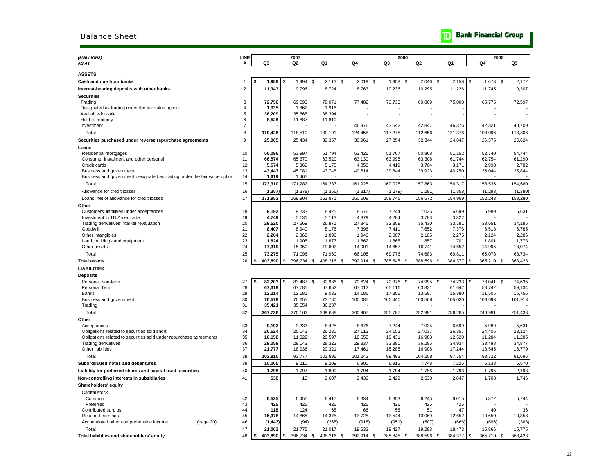### Balance Sheet

| (\$MILLIONS)<br>AS AT                                                                            | LINE<br>#           | Q3               | 2007<br>Q2          | Q1               |                | Q4               | 2006<br>Q3       | Q2                | Q1               | 2005<br>Q4         | Q3               |
|--------------------------------------------------------------------------------------------------|---------------------|------------------|---------------------|------------------|----------------|------------------|------------------|-------------------|------------------|--------------------|------------------|
|                                                                                                  |                     |                  |                     |                  |                |                  |                  |                   |                  |                    |                  |
| <b>ASSETS</b>                                                                                    |                     |                  |                     |                  |                |                  |                  |                   |                  |                    |                  |
| Cash and due from banks                                                                          | $\mathbf{1}$        | 1,986<br>\$      | \$<br>1,994 \$      | 2,113            | $\mathfrak{s}$ | $2,019$ \$       | 1,958<br>- \$    | 2,046<br><b>S</b> | 2,158            | \$<br>1,673 \$     | 2,172            |
| Interest-bearing deposits with other banks                                                       | $\overline{2}$      | 11,343           | 9,796               | 8,724            |                | 8,763            | 10,236           | 10,295            | 11,226           | 11,745             | 10,307           |
| Securities                                                                                       |                     |                  |                     |                  |                |                  |                  |                   |                  |                    |                  |
| Trading                                                                                          | 3                   | 72,756           | 69,093              | 78,071           |                | 77,482           | 73,733           | 69,809            | 75,000           | 65,775             | 72,597           |
| Designated as trading under the fair value option                                                | $\overline{4}$      | 1,935            | 1,862               | 1,916            |                |                  |                  |                   |                  |                    |                  |
| Available-for-sale                                                                               | 5                   | 36,209           | 35,668              | 38,394           |                |                  |                  |                   |                  |                    |                  |
| Held-to-maturity<br>Investment                                                                   | 6<br>$\overline{7}$ | 8,528            | 11,887              | 11,810           |                | 46,976           | 43,542           | 42,847            | 46,376           | 42,321             | 40,709           |
|                                                                                                  | 8                   |                  |                     |                  |                |                  |                  |                   |                  |                    |                  |
| Total                                                                                            |                     | 119,428          | 118,510             | 130,191          |                | 124,458          | 117,275          | 112,656           | 121,376          | 108,096            | 113,306          |
| Securities purchased under reverse repurchase agreements                                         | 9                   | 25,905           | 25,434              | 32,357           |                | 30,961           | 27,854           | 32,344            | 24,847           | 26,375             | 25,624           |
| Loans                                                                                            | 10                  |                  |                     |                  |                |                  |                  |                   |                  |                    |                  |
| Residential mortgages<br>Consumer instalment and other personal                                  | 11                  | 56,096<br>66,574 | 53,997<br>65,370    | 51,794<br>63,520 |                | 53,425<br>63,130 | 51,767<br>63,995 | 50,868<br>63,308  | 51,152<br>61,744 | 52,740<br>62,754   | 54,744<br>61,290 |
| Credit cards                                                                                     | 12                  | 5,574            | 5,369               | 5,175            |                | 4,856            | 4,419            | 3,764             | 3,171            | 2,998              | 2,782            |
| Business and government                                                                          | 13                  | 43,447           | 45,081              | 43,748           |                | 40,514           | 39,844           | 39,923            | 40,250           | 35,044             | 35,844           |
| Business and government designated as trading under the fair value option                        | 14                  | 1,619            | 1,465               |                  |                |                  |                  |                   |                  |                    |                  |
| Total                                                                                            | 15                  | 173,310          | 171,282             | 164,237          |                | 161,925          | 160,025          | 157,863           | 156,317          | 153,536            | 154,660          |
| Allowance for credit losses                                                                      | 16                  | (1, 357)         | (1, 378)            | (1, 366)         |                | (1, 317)         | (1, 279)         | (1, 291)          | (1, 358)         | (1, 293)           | (1, 380)         |
| Loans, net of allowance for credit losses                                                        | 17                  | 171,953          | 169,904             | 162,871          |                | 160,608          | 158,746          | 156,572           | 154,959          | 152,243            | 153,280          |
| Other                                                                                            |                     |                  |                     |                  |                |                  |                  |                   |                  |                    |                  |
| Customers' liabilities under acceptances                                                         | 18                  | 9,192            | 9,233               | 8,425            |                | 8,676            | 7,244            | 7,035             | 6,699            | 5,989              | 5,631            |
| Investment in TD Ameritrade                                                                      | 19                  | 4,749            | 5,131               | 5,113            |                | 4,379            | 4,284            | 3,783             | 3,327            |                    |                  |
| Trading derivatives' market revaluation                                                          | 20                  | 29,520           | 27,569              | 26,871           |                | 27,845           | 32,308           | 35,430            | 33,781           | 33,651             | 34,185           |
| Goodwill                                                                                         | 21                  | 8,407            | 8,940               | 8,176            |                | 7,396            | 7,411            | 7,652             | 7,376            | 6,518              | 6,785            |
| Other intangibles                                                                                | 22                  | 2,264            | 2,368               | 1,896            |                | 1,946            | 2,007            | 2,185             | 2,275            | 2,124              | 2,286            |
| Land, buildings and equipment                                                                    | 23                  | 1,824            | 1,905               | 1,877            |                | 1,862            | 1,865            | 1,857             | 1,701            | 1,801              | 1,773            |
| Other assets                                                                                     | 24                  | 17,319           | 15,950              | 19,602           |                | 14,001           | 14,657           | 16,741            | 14,652           | 14,995             | 13,074           |
| Total                                                                                            | 25                  | 73,275           | 71,096              | 71,960           |                | 66,105           | 69,776           | 74,683            | 69,811           | 65,078             | 63,734           |
| <b>Total assets</b>                                                                              | 26                  | 403,890          | \$<br>396,734<br>\$ | 408,216          | \$             | 392,914<br>\$    | 385,845<br>\$    | 388,596<br>\$     | 384,377          | 365,210<br>\$<br>S | 368,423          |
| <b>LIABILITIES</b>                                                                               |                     |                  |                     |                  |                |                  |                  |                   |                  |                    |                  |
| <b>Deposits</b>                                                                                  |                     |                  |                     |                  |                |                  |                  |                   |                  |                    |                  |
| Personal Non-term                                                                                | 27                  | 82,203           | 83,487<br>\$<br>\$  | 82,986           | \$             | 79,624<br>- \$   | 72,376<br>-\$    | 74,995<br>-\$     | 74,233           | 73,041<br>S.<br>-S | 74,635           |
| Personal Term                                                                                    | 28                  | 67,319           | 67,785              | 67,652           |                | 67,012           | 65,116           | 63,831            | 61,642           | 58,742             | 59,134           |
| Banks                                                                                            | 29                  | 12,214           | 12,681              | 9,033            |                | 14,186           | 17,855           | 13,597            | 15,380           | 11,505             | 15,756           |
| Business and government                                                                          | 30                  | 70,579           | 70,655              | 73,780           |                | 100,085          | 100,440          | 100,568           | 105,030          | 103,693            | 101,913          |
| Trading                                                                                          | 31                  | 35,421           | 35,554              | 36,237           |                |                  |                  |                   |                  |                    |                  |
| Total                                                                                            | 32                  | 267,736          | 270,162             | 269,688          |                | 260,907          | 255,787          | 252,991           | 256,285          | 246,981            | 251,438          |
| Other                                                                                            |                     |                  |                     |                  |                |                  |                  |                   |                  |                    |                  |
| Acceptances                                                                                      | 33                  | 9,192            | 9,233               | 8,425            |                | 8,676            | 7,244            | 7,035             | 6,699            | 5,989              | 5,631<br>23,124  |
| Obligations related to securities sold short                                                     | 34<br>35            | 26,624<br>16,158 | 25,143<br>11,322    | 26,230<br>20,597 |                | 27,113<br>18,655 | 24,153<br>19,431 | 27,037<br>16,983  | 26,357<br>12,520 | 24,406<br>11,284   | 11,285           |
| Obligations related to securities sold under repurchase agreements<br><b>Trading derivatives</b> | 36                  | 29,059           | 29,143              | 28,322           |                | 29,337           | 33,380           | 36,295            | 34,934           | 33,498             | 34,877           |
| Other liabilities                                                                                | 37                  | 21,777           | 18,936              | 20,321           |                | 17,461           | 15,285           | 16,908            | 17,244           | 18,545             | 16,779           |
| Total                                                                                            | 38                  | 102,810          | 93,777              | 103,895          |                | 101,242          | 99,493           | 104,258           | 97,754           | 93,722             | 91,696           |
| Subordinated notes and debentures                                                                | 39                  | 10,005           | 9,210               | 9,209            |                | 6,900            | 6,915            | 7,748             | 7,225            | 5,138              | 5,570            |
| Liability for preferred shares and capital trust securities                                      | 40                  | 1,798            | 1,797               | 1,800            |                | 1,794            | 1,794            | 1,786             | 1,793            | 1,795              | 2,198            |
| Non-controlling interests in subsidiaries                                                        | 41                  | 538              | 13                  | 2,607            |                | 2,439            | 2,429            | 2,530             | 2,847            | 1,708              | 1,746            |
| Shareholders' equity                                                                             |                     |                  |                     |                  |                |                  |                  |                   |                  |                    |                  |
| Capital stock                                                                                    |                     |                  |                     |                  |                |                  |                  |                   |                  |                    |                  |
| Common                                                                                           | 42                  | 6,525            | 6,455               | 6,417            |                | 6,334            | 6,353            | 6,245             | 6,015            | 5,872              | 5,744            |
| Preferred                                                                                        | 43                  | 425              | 425                 | 425              |                | 425              | 425              | 425               | 425              |                    |                  |
| Contributed surplus                                                                              | 44                  | 118              | 124                 | 68               |                | 66               | 56               | 51                | 47               | 40                 | 36               |
| Retained earnings                                                                                | 45                  | 15,378           | 14,865              | 14,375           |                | 13,725           | 13,544           | 13,069            | 12,652           | 10,650             | 10,358           |
| Accumulated other comprehensive income<br>(page 20)                                              | 46                  | (1, 443)         | (94)                | (268)            |                | (918)            | (951)            | (507)             | (666)            | (696)              | (363)            |
| Total                                                                                            | 47                  | 21,003           | 21,775              | 21.017           |                | 19,632           | 19,427           | 19,283            | 18.473           | 15,866             | 15,775           |
| Total liabilities and shareholders' equity                                                       | 48                  | 403,890<br>\$    | \$<br>396,734 \$    | 408,216          | \$             | 392,914 \$       | 385,845<br>Ŝ.    | 388,596 \$        | 384,377          | \$<br>365,210 \$   | 368,423          |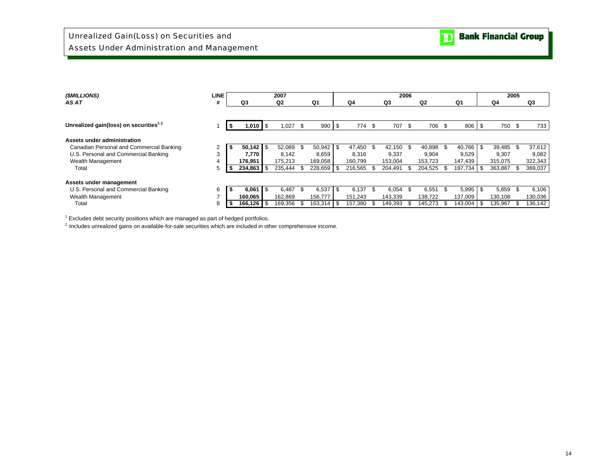# Assets Under Administration and Management

| (SMILLIONS)                                       | LINE |    |                    | 2007           |      |                |     |           |      |         | 2006 |         |      |         |              | 2005 |         |
|---------------------------------------------------|------|----|--------------------|----------------|------|----------------|-----|-----------|------|---------|------|---------|------|---------|--------------|------|---------|
| AS AT                                             | #    |    | Q3                 | Q <sub>2</sub> |      | Q <sub>1</sub> |     | Q4        |      | Q3      |      | Q2      |      | Q1      | Q4           |      | Q3      |
|                                                   |      |    |                    |                |      |                |     |           |      |         |      |         |      |         |              |      |         |
| Unrealized gain(loss) on securities <sup>12</sup> |      |    | $1,010$ $\sqrt{5}$ | 1,027          | -\$  | $990$ \$       |     | 774       | -\$  | 707     | - \$ | 706     | - \$ | 806     | \$<br>750 \$ |      | 733     |
| Assets under administration                       |      |    |                    |                |      |                |     |           |      |         |      |         |      |         |              |      |         |
| Canadian Personal and Commercial Banking          |      | S. | 50,142             | \$<br>52.089   | - \$ | 50,942         | -\$ | 47.450 \$ |      | 42.150  | -96  | 40.898  | - \$ | 40.766  | 39.485 \$    |      | 37,612  |
| U.S. Personal and Commercial Banking              | 3    |    | 7,770              | 8.142          |      | 8.659          |     | 8.316     |      | 9,337   |      | 9.904   |      | 9.529   | 9.307        |      | 9,082   |
| Wealth Management                                 |      |    | 176,951            | 175.213        |      | 169,058        |     | 160.799   |      | 153.004 |      | 153.723 |      | 147,439 | 315,075      |      | 322,343 |
| Total                                             | 5    |    | 234,863            | 235,444        |      | 228,659        |     | 216.565   | -\$  | 204,491 |      | 204,525 |      | 197.734 | 363,867      |      | 369,037 |
| Assets under management                           |      |    |                    |                |      |                |     |           |      |         |      |         |      |         |              |      |         |
| U.S. Personal and Commercial Banking              | 6    | S. | 6,061              | \$<br>6.487    |      | 6,537          |     | 6.137     | - \$ | 6,054   | -\$  | 6,551   |      | 5,995   | 5,859        |      | 6,106   |
| Wealth Management                                 | -    |    | 160.065            | 162.869        |      | 156.777        |     | 151.243   |      | 143.339 |      | 138.722 |      | 137.009 | 130,108      |      | 130,036 |
| Total                                             | 8    | ъ  | 166,126            | 169,356        |      | $163,314$ \$   |     | 157,380   | - \$ | 149.393 |      | 145,273 |      | 143,004 | 135,967      |      | 136,142 |

 $1$  Excludes debt security positions which are managed as part of hedged portfolios.

2 Includes unrealized gains on available-for-sale securities which are included in other comprehensive income.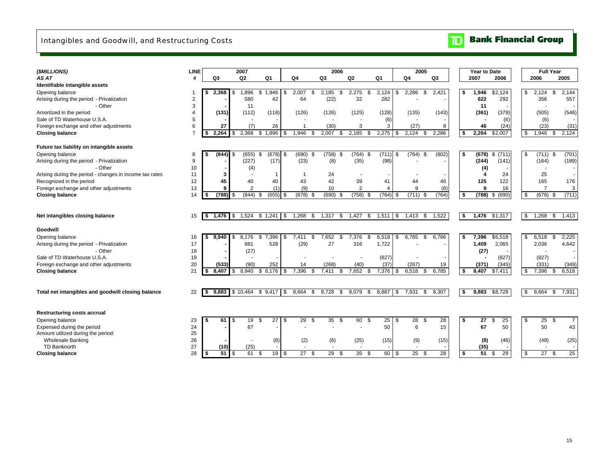# Intangibles and Goodwill, and Restructuring Costs

### $\mathbf{D}$ **Bank Financial Group**

| (\$MILLIONS)                                            | <b>LINE</b>    |                  | 2007           |                  |      |                       | 2006          |                |               |                     | 2005                     |       |      | <b>Year to Date</b> |             |     | <b>Full Year</b> |                      |
|---------------------------------------------------------|----------------|------------------|----------------|------------------|------|-----------------------|---------------|----------------|---------------|---------------------|--------------------------|-------|------|---------------------|-------------|-----|------------------|----------------------|
| AS AT                                                   |                | Q3               | Q2             | Q1               |      | Q4                    | Q3            | Q <sub>2</sub> | Q1            | Q4                  |                          | Q3    |      | 2007                | 2006        |     | 2006             | 2005                 |
| Identifiable intangible assets                          |                |                  |                |                  |      |                       |               |                |               |                     |                          |       |      |                     |             |     |                  |                      |
| Opening balance                                         | -1             | 2,368            | 1,896<br>\$    | 1,946<br>\$.     | -\$  | 2,007<br>S.           | 2,185<br>-\$  | 2,275<br>-\$   | 2.124         | 2,286<br>\$         | \$                       | 2,421 | \$   | 1,946               | \$2,124     | \$  | 2,124            | \$<br>2.144          |
| Arising during the period - Privatization               | $\overline{c}$ |                  | 580            | 42               |      | 64                    | (22)          | 32             | 282           |                     |                          |       |      | 622                 | 292         |     | 356              | 557                  |
| - Other                                                 | 3              |                  | 11             |                  |      |                       |               |                |               |                     |                          |       |      | 11                  |             |     |                  |                      |
| Amortized in the period                                 | 4              | (131)            | (112)          | (118)            |      | (126)                 | (126)         | (125)          | (128)         | (135)               |                          | (143) |      | (361)               | (379)       |     | (505)            | (546)                |
| Sale of TD Waterhouse U.S.A.                            | 5              |                  |                |                  |      |                       |               |                | (6)           |                     |                          |       |      |                     | (6)         |     | (6)              |                      |
| Foreign exchange and other adjustments                  | 6              | 27               | (7)            | 26               |      |                       | (30)          | 3              | 3             | (27)                |                          | 8     |      | 46                  | (24)        |     | (23)             | (31)                 |
| <b>Closing balance</b>                                  | $\overline{7}$ | 2.264<br>\$      | 2.368<br>\$    | 1,896<br>\$      | - \$ | 1.946<br>\$           | 2,007         | 2,185<br>\$    | 2,275         | - \$<br>2,124       | -\$                      | 2,286 | \$   | 2.264               | \$2,007     | \$  | 1,946            | 2,124<br>-\$         |
| Future tax liability on intangible assets               |                |                  |                |                  |      |                       |               |                |               |                     |                          |       |      |                     |             |     |                  |                      |
| Opening balance                                         | 8              | $(844)$ \$       | (655)          | $(678)$ \$<br>\$ |      | (690)<br>\$           | $(758)$ \$    | $(764)$ \$     | $(711)$ \$    |                     | $(764)$ \$               | (802) | \$   | (678)               | (711)<br>\$ | \$  | $(711)$ \$       | (701)                |
| Arising during the period - Privatization               | 9              |                  | (227)          | (17)             |      | (23)                  | (8)           | (35)           | (98)          |                     |                          |       |      | (244)               | (141)       |     | (164)            | (189)                |
| - Other                                                 | 10             |                  | (4)            |                  |      |                       |               |                |               |                     |                          |       |      | (4)                 |             |     |                  |                      |
| Arising during the period - changes in income tax rates | 11             | 3                |                | -1               |      |                       | 24            |                |               |                     |                          |       |      | 4                   | 24          |     | 25               |                      |
| Recognized in the period                                | 12             | 45               | 40             | 40               |      | 43                    | 42            | 39             | 41            | 44                  |                          | 46    |      | 125                 | 122         |     | 165              | 176                  |
| Foreign exchange and other adjustments                  | 13             | 8                | $\overline{2}$ | (1)              |      | (9)                   | 10            | $\overline{2}$ | 4             |                     | 9                        | (8)   |      | 9                   | 16          |     | $\overline{7}$   | 3                    |
| <b>Closing balance</b>                                  | 14             | $(788)$ \$<br>\$ | (844)          | (655)<br>-96     | - \$ | $(678)$ \$            | $(690)$ \$    | (758)<br>- \$  | $(764)$ \$    |                     | $(711)$ \$               | (764) | -\$  | $(788)$ \$          | (690)       | \$  | $(678)$ \$       | (711)                |
|                                                         |                |                  |                |                  |      |                       |               |                |               |                     |                          |       |      |                     |             |     |                  |                      |
|                                                         |                |                  |                |                  |      |                       |               |                |               |                     |                          |       |      |                     |             |     |                  |                      |
| Net intangibles closing balance                         | 15             | 1,476<br>l \$    | 1,524<br>\$    | \$1,241          | \$   | 1,268<br>\$           | 1,317<br>\$   | 1,427<br>\$    | 1,511         | $\sqrt{3}$<br>1,413 | \$                       | 1,522 | \$   | 1,476               | \$1,317     | \$  | 1,268            | \$<br>1,413          |
| Goodwill                                                |                |                  |                |                  |      |                       |               |                |               |                     |                          |       |      |                     |             |     |                  |                      |
| Opening balance                                         | 16             | 8.940<br>s.      | 8,176<br>-\$   | 7,396<br>\$      | \$   | 7.411<br>\$           | 7,652<br>\$   | 7,376<br>\$    | 6,518         | \$<br>6,785         | - \$                     | 6,766 | Ŝ.   | 7,396               | \$6,518     | \$  | 6,518            | \$<br>2,225          |
| Arising during the period - Privatization               | 17             |                  | 881            | 528              |      | (29)                  | 27            | 316            | 1,722         |                     |                          |       |      | 1,409               | 2,065       |     | 2,036            | 4,642                |
| - Other                                                 | 18             |                  | (27)           |                  |      |                       |               |                |               |                     |                          |       |      | (27)                |             |     |                  |                      |
| Sale of TD Waterhouse U.S.A.                            | 19             |                  |                |                  |      |                       |               |                | (827)         |                     |                          |       |      |                     | (827)       |     | (827)            |                      |
| Foreign exchange and other adjustments                  | 20             | (533)            | (90)           | 252              |      | 14                    | (268)         | (40)           | (37)          | (267)               |                          | 19    |      | (371)               | (345)       |     | (331)            | (349)                |
| <b>Closing balance</b>                                  | 21             | 8.407            | 8.940<br>\$    | \$8,176          | - \$ | 7,396<br>\$           | 7,411         | 7,652<br>\$    | 7,376         | 6,518<br>\$         | \$                       | 6,785 | Ŝ.   | 8,407               | \$7,411     | \$  | 7,396            | 6,518<br>\$          |
|                                                         |                |                  |                |                  |      |                       |               |                |               |                     |                          |       |      |                     |             |     |                  |                      |
|                                                         |                |                  |                |                  |      |                       |               |                |               |                     |                          |       |      |                     |             |     |                  |                      |
| Total net intangibles and goodwill closing balance      | 22             | 9.883<br>s.      | \$10.464       | \$9,417          | -S   | 8,664<br>-S           | 8,728<br>- 35 | 9,079<br>\$    | 8,887         | l \$<br>7,931       | \$                       | 8,307 | - \$ | 9,883               | \$8,728     | \$  | $8,664$ \$       | 7,931                |
|                                                         |                |                  |                |                  |      |                       |               |                |               |                     |                          |       |      |                     |             |     |                  |                      |
| <b>Restructuring costs accrual</b>                      |                |                  |                |                  |      |                       |               |                |               |                     |                          |       |      |                     |             |     |                  |                      |
| Opening balance                                         | 23             | \$<br>61         | 19<br>-\$      | 27<br>£.         | -\$  | 29<br>\$              | 35<br>- \$    | 60<br>-\$      | $25 \quad$ \$ |                     | 28<br>- \$               | 28    | \$   | 27                  | 25<br>\$    | -\$ | 25               | \$<br>$\overline{7}$ |
| Expensed during the period                              | 24             |                  | 67             |                  |      |                       |               |                | 50            |                     | 6                        | 15    |      | 67                  | 50          |     | 50               | 43                   |
| Amount utilized during the period:                      | 25             |                  |                |                  |      |                       |               |                |               |                     |                          |       |      |                     |             |     |                  |                      |
| <b>Wholesale Banking</b>                                | 26             |                  |                | (8)              |      | (2)                   | (6)           | (25)           | (15)          |                     | (9)                      | (15)  |      | (8)                 | (46)        |     | (48)             | (25)                 |
| TD Banknorth                                            | 27             | (10)             | (25)           |                  |      |                       |               | $\sim$         |               |                     | $\overline{\phantom{a}}$ |       |      | (35)                |             |     |                  |                      |
| <b>Closing balance</b>                                  | 28             | 51<br>\$         | 61<br><b>S</b> | 19<br>\$         | \$   | $\overline{27}$<br>\$ | 29<br>\$      | 35<br>\$       | $60$ \$       |                     | 25<br>- \$               | 28    | S.   | 51                  | 29<br>\$    | \$  | $\overline{27}$  | 25<br>-\$            |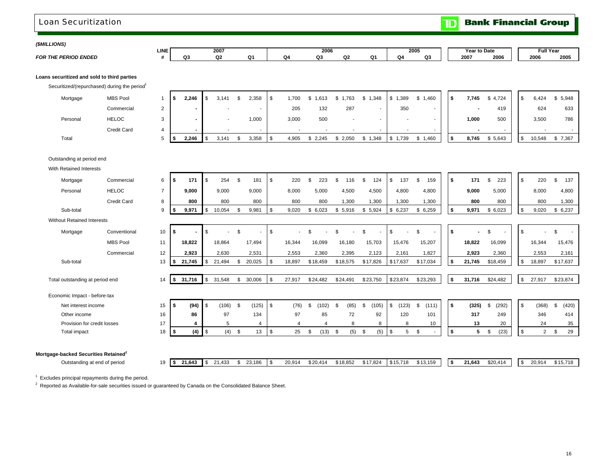### Loan Securitization

**Bank Financial Group**  $\mathbf{D}$ 

 $\blacksquare$ 

 $\blacksquare$ 

### *(\$MILLIONS)*

| <i>וטוויוטופו</i>                                |             |   |      |    |            |    |                 |   |                     |      |      |                  |
|--------------------------------------------------|-------------|---|------|----|------------|----|-----------------|---|---------------------|------|------|------------------|
|                                                  | <b>LINE</b> |   | 2007 |    | 2006       |    | $-0.00$<br>2005 |   | <b>Year to Date</b> |      |      | <b>Full Year</b> |
| <b>D ENDED</b><br><b>FOR THE</b><br><b>DEDIO</b> |             | . | ~~   | Ω4 | $\sim$<br> | Ω1 |                 | r | 2007                | 2006 | 2006 | 2005             |

### **Loans securitized and sold to third parties**

Securitized/(repurchased) during the period<sup>1</sup>

| Mortgage | <b>MBS Pool</b> | 2,246 | 3,141                    | 2,358  | 1,700  | 1,613  | 1,763                    | 1,348<br>\$. | 389, ا | \$1,460 | 7,745 | \$4,724 | . ა | 6,424  | \$5,948 |
|----------|-----------------|-------|--------------------------|--------|--------|--------|--------------------------|--------------|--------|---------|-------|---------|-----|--------|---------|
|          | Commercial      |       |                          | $\sim$ | 205    | 132    | 287                      |              | 350    |         |       | 419     |     | 624    | 633     |
| Personal | <b>HELOC</b>    |       | $\overline{\phantom{a}}$ | 1,000  | 3,000  | 500    | $\overline{\phantom{0}}$ |              |        |         | 1,000 | 500     |     | 3,500  | 786     |
|          | Credit Card     |       |                          | $\sim$ | $\sim$ | $\sim$ | $\sim$                   |              |        | $\sim$  |       |         |     |        |         |
| Total    |                 | 2.246 | 3,141                    | 3,358  | 4,905  | 2.245  | 2,050                    | 1,348        | 1,739  | 1,460   | 8,745 | \$5,643 | . ა | 10,548 | \$7,367 |

### Outstanding at period end

With Retained Interests

| Mortgage                                         | Commercial         | 6              | s.   | 171    | <b>S</b>       | 254      |                | 181                      | l \$     | 220    |    |          | \$. | 116      | \$<br>124   |   | \$<br>137   | 159         | l \$ | 171    | 223<br>\$      | \$<br>220            | \$<br>137   |
|--------------------------------------------------|--------------------|----------------|------|--------|----------------|----------|----------------|--------------------------|----------|--------|----|----------|-----|----------|-------------|---|-------------|-------------|------|--------|----------------|----------------------|-------------|
| Personal                                         | <b>HELOC</b>       | $\overline{7}$ |      | 9,000  |                | 9,000    |                | 9,000                    |          | 8,000  |    | 5,000    |     | 4,500    | 4,500       |   | 4,800       | 4,800       |      | 9,000  | 5,000          | 8,000                | 4,800       |
|                                                  | <b>Credit Card</b> | 8              |      | 800    |                | 800      |                | 800                      |          | 800    |    | 800      |     | 1,300    | 1,300       |   | 1,300       | 1,300       |      | 800    | 800            | 800                  | 1,300       |
| Sub-total                                        |                    | 9              | S    | 9,971  | \$             | 10,054   |                | 9,981                    | - \$     | 9,020  |    | \$6,023  | \$  | 5,916    | \$5,924     |   | \$6,237     | \$6,259     | l \$ | 9,971  | \$6,023        | \$<br>9,020          | \$6,237     |
| <b>Without Retained Interests</b>                |                    |                |      |        |                |          |                |                          |          |        |    |          |     |          |             |   |             |             |      |        |                |                      |             |
| Mortgage                                         | Conventional       | 10             | s.   |        | \$.            |          | $\mathfrak{L}$ | $\overline{\phantom{a}}$ | l \$     |        | £. |          | \$. |          | \$          |   | \$          | \$.         | l \$ |        | $\mathfrak{L}$ | \$                   | \$.         |
|                                                  | <b>MBS Pool</b>    | 11             |      | 18,822 |                | 18,864   |                | 17,494                   |          | 16,344 |    | 16,099   |     | 16,180   | 15,703      |   | 15,476      | 15,207      |      | 18,822 | 16,099         | 16,344               | 15,476      |
|                                                  | Commercial         | 12             |      | 2,923  |                | 2,630    |                | 2,531                    |          | 2,553  |    | 2,360    |     | 2,395    | 2,123       |   | 2,161       | 1,827       |      | 2,923  | 2,360          | 2,553                | 2,161       |
| Sub-total                                        |                    | 13             | l S  | 21,745 | l \$           | 21,494   | £.             | 20,025                   | - \$     | 18,897 |    | \$18,459 |     | \$18,575 | \$17,826    |   | \$17,637    | \$17,034    | \$   | 21,745 | \$18,459       | \$<br>18,897         | \$17,637    |
| Total outstanding at period end                  |                    | 14             | l \$ | 31,716 | $\sqrt{3}$     | 31,548   | \$             | 30,006                   | <b>S</b> | 27,917 |    | \$24,482 |     | \$24,491 | \$23,750    |   | \$23,874    | \$23,293    | l \$ | 31,716 | \$24,482       | \$<br>27,917         | \$23,874    |
| Economic Impact - before-tax                     |                    |                |      |        |                |          |                |                          |          |        |    |          |     |          |             |   |             |             |      |        |                |                      |             |
| Net interest income                              |                    | 15             | l \$ | (94)   | $\sqrt{3}$     | (106)    | - \$           | (125)                    | l Si     | (76)   | Я. | 102)     |     | (85)     | (105)<br>\$ |   | \$<br>(123) | \$<br>(111) | l \$ | (325)  | (292)<br>\$.   | \$<br>(368)          | (420)<br>\$ |
| Other income                                     |                    | 16             |      | 86     |                | 97       |                | 134                      |          | 97     |    | 85       |     | 72       | 92          |   | 120         | 101         |      | 317    | 249            | 346                  | 414         |
| Provision for credit losses                      |                    | 17             |      |        |                | 5        |                | 4                        |          |        |    |          |     | 8        |             | 8 | 8           | 10          |      | 13     | 20             | 24                   | 35          |
| <b>Total impact</b>                              |                    | 18             | \$   | (4)    | $\sqrt{3}$     | $(4)$ \$ |                | 13                       | <b>S</b> | 25     | \$ | (13)     | \$  | (5)      | (5)<br>\$   |   | \$<br>5     | \$          | \$   | 5      | (23)<br>. ድ    | \$<br>$\overline{2}$ | 29<br>\$    |
|                                                  |                    |                |      |        |                |          |                |                          |          |        |    |          |     |          |             |   |             |             |      |        |                |                      |             |
| Mortgage-backed Securities Retained <sup>2</sup> |                    |                |      |        |                |          |                |                          |          |        |    |          |     |          |             |   |             |             |      |        |                |                      |             |
| Outstanding at end of period                     |                    | 19             | I \$ | 21,643 | 1 <sup>5</sup> | 21,433   | S              | 23,186                   | l \$     | 20,914 |    | \$20,414 |     | \$18,852 | \$17,824    |   | \$15,718    | \$13,159    | l \$ | 21,643 | \$20,414       | \$<br>20,914         | \$15,718    |

 $1$  Excludes principal repayments during the period.

<sup>2</sup> Reported as Available-for-sale securities issued or guaranteed by Canada on the Consolidated Balance Sheet.

 $\blacksquare$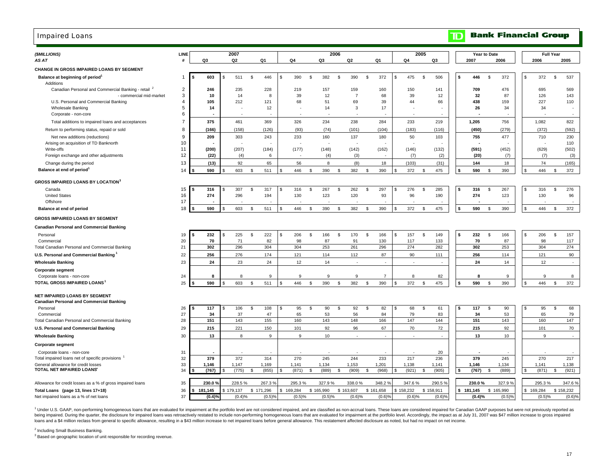### Impaired Loans

#### **Bank Financial Group**  $\blacksquare$

| (\$MILLIONS)<br>AS AT                                                            | <b>LINE</b><br>Ħ |    | Q3             |     | 2007<br>Q2     |                    | Q1                   |           | Q4             |                | 2006<br>Q3     |              | Q <sub>2</sub> |           | Q1             | Q4                   | 2005         | Q3             |    | 2007           | Year to Date   | 2006           |                    | <b>Full Year</b><br>2006 | 2005                 |
|----------------------------------------------------------------------------------|------------------|----|----------------|-----|----------------|--------------------|----------------------|-----------|----------------|----------------|----------------|--------------|----------------|-----------|----------------|----------------------|--------------|----------------|----|----------------|----------------|----------------|--------------------|--------------------------|----------------------|
| CHANGE IN GROSS IMPAIRED LOANS BY SEGMENT                                        |                  |    |                |     |                |                    |                      |           |                |                |                |              |                |           |                |                      |              |                |    |                |                |                |                    |                          |                      |
| Balance at beginning of period <sup>1</sup>                                      | 1                |    | 603            | \$  | 511            | \$                 | 446                  | £.        | 390            | $\mathfrak{s}$ | 382            | \$           | 390            | \$        | 372            | \$<br>475            | <b>S</b>     | 506            | \$ | 446            | \$             | 372            | \$                 | 372                      | \$<br>537            |
| Additions                                                                        |                  |    |                |     |                |                    |                      |           |                |                |                |              |                |           |                |                      |              |                |    |                |                |                |                    |                          |                      |
| Canadian Personal and Commercial Banking - retail 2                              | $\overline{2}$   |    | 246            |     | 235            |                    | 228                  |           | 219            |                | 157            |              | 159            |           | 160            | 150                  |              | 141            |    | 709            |                | 476            |                    | 695                      | 569                  |
| - commercial mid-market                                                          | 3                |    | 10             |     | 14             |                    | 8                    |           | 39             |                | 12             |              | $\overline{7}$ |           | 68             | 39                   |              | 12             |    | 32             |                | 87             |                    | 126                      | 143                  |
| U.S. Personal and Commercial Banking<br><b>Wholesale Banking</b>                 | 4<br>5           |    | 105<br>14      |     | 212            |                    | 121<br>12            |           | 68             |                | 51<br>14       |              | 69<br>3        |           | 39<br>17       | 44                   |              | 66             |    | 438<br>26      |                | 159<br>34      |                    | 227<br>34                | 110                  |
| Corporate - non-core                                                             | 6                |    |                |     |                |                    |                      |           |                |                |                |              | ×              |           |                |                      |              |                |    |                |                |                |                    |                          |                      |
| Total additions to impaired loans and acceptances                                | $\overline{7}$   |    | 375            |     | 461            |                    | 369                  |           | 326            |                | 234            |              | 238            |           | 284            | 233                  |              | 219            |    | 1,205          |                | 756            |                    | 1,082                    | 822                  |
| Return to performing status, repaid or sold                                      | 8                |    | (166)          |     | (158)          |                    | (126)                |           | (93)           |                | (74)           |              | (101)          |           | (104)          | (183)                |              | (116)          |    | (450)          |                | (279)          |                    | (372)                    | (592)                |
| Net new additions (reductions)                                                   | 9                |    | 209            |     | 303            |                    | 243                  |           | 233            |                | 160            |              | 137            |           | 180            | 50                   |              | 103            |    | 755            |                | 477            |                    | 710                      | 230                  |
| Arising on acquisition of TD Banknorth                                           | 10               |    |                |     |                |                    |                      |           |                |                |                |              |                |           |                |                      |              |                |    |                |                |                |                    |                          | 110                  |
| Write-offs                                                                       | 11               |    | (200)          |     | (207)          |                    | (184)                |           | (177)          |                | (148)          |              | (142)          |           | (162)          | (146)                |              | (132)          |    | (591)          |                | (452)          |                    | (629)                    | (502)                |
| Foreign exchange and other adjustments                                           | 12               |    | (22)           |     | (4)            |                    | -6                   |           |                |                | (4)            |              | (3)            |           |                | (7)                  |              | (2)            |    | (20)           |                | (7)            |                    | (7)                      | (3)                  |
| Change during the period<br>Balance at end of period <sup>1</sup>                | 13<br>14         |    | (13)<br>590    | \$. | 92<br>603      | \$                 | 65<br>511            |           | 56<br>446      | -S             | 8<br>390       | \$           | (8)<br>382     | \$        | 18<br>390      | \$<br>(103)<br>372   | - \$         | (31)<br>475    | \$ | 144<br>590     | \$             | 18<br>390      | $\mathfrak{L}$     | 74<br>446                | (165)<br>\$<br>372   |
|                                                                                  |                  |    |                |     |                |                    |                      |           |                |                |                |              |                |           |                |                      |              |                |    |                |                |                |                    |                          |                      |
| <b>GROSS IMPAIRED LOANS BY LOCATION</b>                                          |                  |    |                |     |                |                    |                      |           |                |                |                |              |                |           |                |                      |              |                |    |                |                |                |                    |                          |                      |
| Canada                                                                           | 15               |    | 316            | \$  | 307            | \$.                | 317                  |           | 316            | \$.            | 267            | <b>S</b>     | 262            | \$        | 297            | \$<br>276            | \$           | 285            |    | 316            | \$             | 267            |                    | 316                      | 276<br>\$            |
| <b>United States</b>                                                             | 16<br>17         |    | 274            |     | 296            |                    | 194                  |           | 130            |                | 123            |              | 120            |           | 93             | 96                   |              | 190            |    | 274            |                | 123            |                    | 130                      | 96                   |
| Offshore<br>Balance at end of period                                             | 18               |    | 590            | \$. | 603            | \$.                | 511                  |           | 446            | \$             | 390            | \$           | 382            | \$        | 390            | \$<br>372            | \$           | 475            | ¢  | 590            | \$             | 390            | $\mathbf{\hat{z}}$ | 446                      | \$<br>372            |
|                                                                                  |                  |    |                |     |                |                    |                      |           |                |                |                |              |                |           |                |                      |              |                |    |                |                |                |                    |                          |                      |
| <b>GROSS IMPAIRED LOANS BY SEGMENT</b>                                           |                  |    |                |     |                |                    |                      |           |                |                |                |              |                |           |                |                      |              |                |    |                |                |                |                    |                          |                      |
| <b>Canadian Personal and Commercial Banking</b>                                  |                  |    |                |     |                |                    |                      |           |                |                |                |              |                |           |                |                      |              |                |    |                |                |                |                    |                          |                      |
| Personal                                                                         | 19               | Ŝ. | 232            | \$  | 225            | \$                 | 222                  | \$.       | 206            | \$             | 166            | <b>S</b>     | 170            | \$        | 166            | \$<br>157            | \$           | 149            | \$ | 232            | \$             | 166            | \$                 | 206                      | 157<br>\$            |
| Commercial<br>Total Canadian Personal and Commercial Banking                     | 20<br>21         |    | 70<br>302      |     | 71<br>296      |                    | 82<br>304            |           | 98<br>304      |                | 87<br>253      |              | 91<br>261      |           | 130<br>296     | 117<br>274           |              | 133<br>282     |    | 70<br>302      |                | 87<br>253      |                    | 98<br>304                | 117<br>274           |
| U.S. Personal and Commercial Banking                                             | 22               |    | 256            |     | 276            |                    | 174                  |           | 121            |                | 114            |              | 112            |           | 87             | 90                   |              | 111            |    | 256            |                | 114            |                    | 121                      | 90                   |
| <b>Wholesale Banking</b>                                                         | 23               |    | 24             |     | 23             |                    | 24                   |           | 12             |                | 14             |              | ٠              |           | $\sim$         |                      |              |                |    | 24             |                | 14             |                    | 12                       |                      |
| <b>Corporate segment</b>                                                         |                  |    |                |     |                |                    |                      |           |                |                |                |              |                |           |                |                      |              |                |    |                |                |                |                    |                          |                      |
| Corporate loans - non-core                                                       | 24               |    | 8              |     | 8              |                    | 9                    |           | 9              |                | 9              |              | 9              |           | $\overline{7}$ | 8                    |              | 82             |    | 8              |                | 9              |                    | 9                        | 8                    |
| TOTAL GROSS IMPAIRED LOANS                                                       | 25               |    | 590            |     | 603            | $\mathbf{\hat{s}}$ | 511                  |           | 446            | $\mathfrak{s}$ | 390            | $\mathbf{s}$ | 382            | \$        | 390            | 372                  | $\mathbf{s}$ | 475            |    | 590            | $\mathfrak{L}$ | 390            |                    | 446                      | 372<br>\$            |
|                                                                                  |                  |    |                |     |                |                    |                      |           |                |                |                |              |                |           |                |                      |              |                |    |                |                |                |                    |                          |                      |
| NET IMPAIRED LOANS BY SEGMENT<br><b>Canadian Personal and Commercial Banking</b> |                  |    |                |     |                |                    |                      |           |                |                |                |              |                |           |                |                      |              |                |    |                |                |                |                    |                          |                      |
| Personal                                                                         | 26               | \$ | 117            | \$  | 106            | \$                 | 108                  | \$        | 95             | \$             | 90             | \$           | 92             | \$        | 82             | \$<br>68             | \$           | 61             | \$ | 117            | \$             | 90             | $\mathfrak{L}$     | 95                       | \$<br>68             |
| Commercial                                                                       | 27               |    | 34             |     | 37             |                    | 47                   |           | 65             |                | 53             |              | 56             |           | 84             | 79                   |              | 83             |    | 34             |                | 53             |                    | 65                       | 79                   |
| Total Canadian Personal and Commercial Banking                                   | 28               |    | 151            |     | 143            |                    | 155                  |           | 160            |                | 143            |              | 148            |           | 166            | 147                  |              | 144            |    | 151            |                | 143            |                    | 160                      | 147                  |
| U.S. Personal and Commercial Banking                                             | 29               |    | 215            |     | 221            |                    | 150                  |           | 101            |                | 92             |              | 96             |           | 67             | 70                   |              | 72             |    | 215            |                | 92             |                    | 101                      | 70                   |
| <b>Wholesale Banking</b>                                                         | 30               |    | 13             |     | 8              |                    | 9                    |           | 9              |                | 10             |              | ×,             |           |                |                      |              |                |    | 13             |                | 10             |                    | 9                        |                      |
| <b>Corporate segment</b>                                                         |                  |    |                |     |                |                    |                      |           |                |                |                |              |                |           |                |                      |              |                |    |                |                |                |                    |                          |                      |
| Corporate loans - non-core                                                       | 31               |    |                |     |                |                    |                      |           |                |                |                |              |                |           |                |                      |              | 20             |    |                |                |                |                    |                          |                      |
| Total impaired loans net of specific provisions                                  | 32               |    | 379            |     | 372            |                    | 314                  |           | 270            |                | 245            |              | 244            |           | 233            | 217                  |              | 236            |    | 379            |                | 245            |                    | 270                      | 217                  |
| General allowance for credit losses<br>TOTAL NET IMPAIRED LOANS'                 | 33<br>34         |    | 1.146<br>(767) |     | 1.147<br>(775) | \$                 | 1,169<br>(855)       |           | 1,141<br>(871) | \$             | 1,134<br>(889) | - \$         | 1,153<br>(909) | \$        | 1,201<br>(968) | \$<br>1,138<br>(921) | \$           | 1.141<br>(905) | \$ | 1,146<br>(767) | \$             | 1.134<br>(889) | \$.                | 1.141<br>(871)           | 1,138<br>(921)<br>\$ |
|                                                                                  |                  |    |                |     |                |                    |                      |           |                |                |                |              |                |           |                |                      |              |                |    |                |                |                |                    |                          |                      |
| Allowance for credit losses as a % of gross impaired loans                       | 35               |    | 230.0 %        |     | 228.5%         |                    | 267.3%               |           | 295.3%         |                | 327.9%         |              | 338.0%         |           | 348.2%         | 347.6%               |              | 290.5%         |    | 230.0%         |                | 327.9%         |                    | 295.3%                   | 347.6%               |
| Total Loans (page 13, lines 17+18)                                               | 36               |    | \$181,145      |     | \$179,137      |                    | \$171,296            | \$169,284 |                |                | \$165,990      |              | \$163,607      | \$161,658 |                | \$158,232            | \$158,911    |                |    | \$181,145      |                | \$165,990      |                    | \$169,284                | \$158,232            |
| Net impaired loans as a % of net loans                                           | 37               |    | (0.4)%         |     | (0.4)%         |                    | $(0.5)$ <sup>o</sup> |           | (0.5)%         |                | (0.5)%         |              | (0.6)%         |           | $(0.6)$ %      | (0.6)%               |              | (0.6)%         |    | (0.4)%         |                | (0.5)%         |                    | (0.5)%                   | (0.6)%               |

1 Under U.S. GAAP, non-performing homogeneous loans that are evaluated for impairment at the portfolio level are not considered impaired, and are classified as non-accrual loans. These loans are considered impaired for Can being impaired. During the quarter, the disclosure for impaired loans was retroactively restated to include non-performing homogeneous loans that are evaluated for impairment at the portfolio level. Accordingly, the impact loans and a \$4 million reclass from general to specific allowance, resulting in a \$43 million increase to net impaired loans before general allowance. This restatement affected disclosure as noted, but had no impact on net

<sup>2</sup> Including Small Business Banking.

<sup>3</sup> Based on geographic location of unit responsible for recording revenue.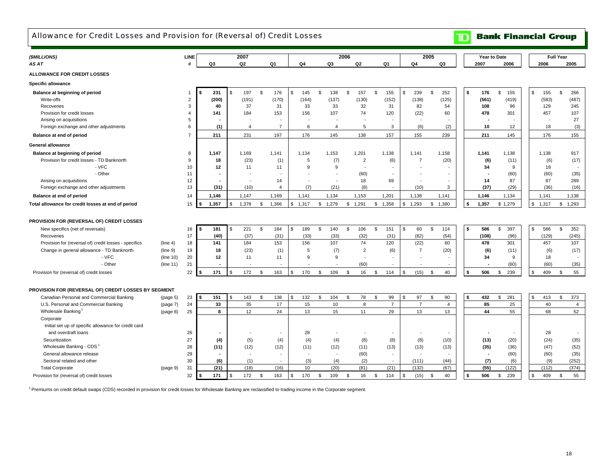# Allowance for Credit Losses and Provision for (Reversal of) Credit Losses

**TD** Bank Financial Group

| (\$MILLIONS)                                          |           | LINE           |             |                | 2007                  |                |                          |             |               |                | 2006 |                |              |                          |                |                          | 2005           |                          | Year to Date             |           |                |       | <b>Full Year</b> |                          |
|-------------------------------------------------------|-----------|----------------|-------------|----------------|-----------------------|----------------|--------------------------|-------------|---------------|----------------|------|----------------|--------------|--------------------------|----------------|--------------------------|----------------|--------------------------|--------------------------|-----------|----------------|-------|------------------|--------------------------|
| AS AT                                                 |           | #              | Q3          |                | Q <sub>2</sub>        |                | Q <sub>1</sub>           | Q4          |               | Q3             |      | Q2             |              | Q <sub>1</sub>           |                | Q4                       |                | Q <sub>3</sub>           | 2007                     | 2006      |                | 2006  |                  | 2005                     |
| <b>ALLOWANCE FOR CREDIT LOSSES</b>                    |           |                |             |                |                       |                |                          |             |               |                |      |                |              |                          |                |                          |                |                          |                          |           |                |       |                  |                          |
| <b>Specific allowance</b>                             |           |                |             |                |                       |                |                          |             |               |                |      |                |              |                          |                |                          |                |                          |                          |           |                |       |                  |                          |
| Balance at beginning of period                        |           | $\overline{1}$ | \$<br>231   | $\mathfrak{L}$ | 197                   | $$\mathbb{S}$$ | 176                      | \$<br>145   | $\mathfrak s$ | 138            | \$   | 157            | $\mathbf{s}$ | 155                      | \$             | 239                      | \$             | 252                      | \$<br>176                | \$<br>155 | \$.            | 155   | $$\mathbb{S}$$   | 266                      |
| Write-offs                                            |           | $\overline{2}$ | (200)       |                | (191)                 |                | (170)                    | (164)       |               | (137)          |      | (130)          |              | (152)                    |                | (138)                    |                | (125)                    | (561)                    | (419)     |                | (583) |                  | (487)                    |
| Recoveries                                            |           | 3              | 40          |                | 37                    |                | 31                       | 33          |               | 33             |      | 32             |              | 31                       |                | 82                       |                | 54                       | 108                      | 96        |                | 129   |                  | 245                      |
| Provision for credit losses                           |           | $\overline{4}$ | 141         |                | 184                   |                | 153                      | 156         |               | 107            |      | 74             |              | 120                      |                | (22)                     |                | 60                       | 478                      | 301       |                | 457   |                  | 107                      |
| Arising on acquisitions                               |           | 5              |             |                |                       |                |                          |             |               |                |      |                |              | $\overline{\phantom{a}}$ |                | $\overline{\phantom{a}}$ |                |                          |                          |           |                |       |                  | 27                       |
| Foreign exchange and other adjustments                |           | 6              | (1)         |                | $\boldsymbol{\Delta}$ |                | $\overline{7}$           | 6           |               | $\overline{4}$ |      | 5              |              | 3                        |                | (6)                      |                | (2)                      | 10                       | 12        |                | 18    |                  | (3)                      |
| Balance at end of period                              |           | $\overline{7}$ | 211         |                | 231                   |                | 197                      | 176         |               | 145            |      | 138            |              | 157                      |                | 155                      |                | 239                      | 211                      | 145       |                | 176   |                  | 155                      |
| <b>General allowance</b>                              |           |                |             |                |                       |                |                          |             |               |                |      |                |              |                          |                |                          |                |                          |                          |           |                |       |                  |                          |
| Balance at beginning of period                        |           | 8              | 1,147       |                | 1,169                 |                | 1,141                    | 1,134       |               | 1,153          |      | 1,201          |              | 1,138                    |                | 1,141                    |                | 1,158                    | 1,141                    | 1,138     |                | 1,138 |                  | 917                      |
| Provision for credit losses - TD Banknorth            |           | 9              | 18          |                | (23)                  |                | (1)                      | 5           |               | (7)            |      | $\overline{2}$ |              | (6)                      |                | $\overline{7}$           |                | (20)                     | (6)                      | (11)      |                | (6)   |                  | (17)                     |
| - VFC                                                 |           | 10             | 12          |                | 11                    |                | 11                       | 9           |               | 9              |      |                |              |                          |                |                          |                |                          | 34                       | 9         |                | 18    |                  | $\overline{\phantom{a}}$ |
| - Other                                               |           | 11             |             |                |                       |                | $\overline{\phantom{a}}$ |             |               |                |      | (60)           |              | $\overline{\phantom{a}}$ |                |                          |                | $\overline{\phantom{a}}$ |                          | (60)      |                | (60)  |                  | (35)                     |
| Arising on acquisitions                               |           | 12             |             |                |                       |                | 14                       | ÷           |               | ٠              |      | 18             |              | 69                       |                | ٠.                       |                | $\overline{\phantom{a}}$ | 14                       | 87        |                | 87    |                  | 289                      |
| Foreign exchange and other adjustments                |           | 13             | (31)        |                | (10)                  |                | $\overline{4}$           | (7)         |               | (21)           |      | (8)            |              |                          |                | (10)                     |                | 3                        | (37)                     | (29)      |                | (36)  |                  | (16)                     |
| Balance at end of period                              |           | 14             | 1,146       |                | 1,147                 |                | 1,169                    | 1,141       |               | 1,134          |      | 1,153          |              | 1,201                    |                | 1,138                    |                | 1,141                    | 1,146                    | 1,134     |                | 1,141 |                  | 1,138                    |
| Total allowance for credit losses at end of period    |           | 15             | 1,357<br>-S | \$             | 1,378                 | \$             | 1,366                    | \$<br>1,317 |               | \$1,279        | \$   | 1,291          | \$           | 1,358                    | \$             | 1,293                    | \$             | 1,380                    | \$<br>1,357              | \$1,279   | \$             | 1,317 | \$               | 1,293                    |
|                                                       |           |                |             |                |                       |                |                          |             |               |                |      |                |              |                          |                |                          |                |                          |                          |           |                |       |                  |                          |
| PROVISION FOR (REVERSAL OF) CREDIT LOSSES             |           |                |             |                |                       |                |                          |             |               |                |      |                |              |                          |                |                          |                |                          |                          |           |                |       |                  |                          |
| New specifics (net of reversals)                      |           | 16             | \$<br>181   | \$             | 221                   | \$             | 184                      | \$<br>189   | \$            | 140            | \$   | 106            | <b>S</b>     | 151                      | $\mathfrak{L}$ | 60                       | \$             | 114                      | \$<br>586                | \$<br>397 | $\mathfrak{s}$ | 586   | \$               | 352                      |
| Recoveries                                            |           | 17             | (40)        |                | (37)                  |                | (31)                     | (33)        |               | (33)           |      | (32)           |              | (31)                     |                | (82)                     |                | (54)                     | (108)                    | (96)      |                | (129) |                  | (245)                    |
| Provision for (reversal of) credit losses - specifics | (line 4)  | 18             | 141         |                | 184                   |                | 153                      | 156         |               | 107            |      | 74             |              | 120                      |                | (22)                     |                | 60                       | 478                      | 301       |                | 457   |                  | 107                      |
| Change in general allowance - TD Banknorth            | (line 9)  | 19             | 18          |                | (23)                  |                | (1)                      | 5           |               | (7)            |      | $\overline{2}$ |              | (6)                      |                | $\overline{7}$           |                | (20)                     | (6)                      | (11)      |                | (6)   |                  | (17)                     |
| - VFC                                                 | (line 10) | 20             | 12          |                | 11                    |                | 11                       | 9           |               | 9              |      |                |              |                          |                |                          |                |                          | 34                       | 9         |                | 18    |                  | $\overline{\phantom{a}}$ |
| - Other                                               | (line 11) | 21             | ٠           |                |                       |                | $\overline{\phantom{a}}$ |             |               |                |      | (60)           |              |                          |                |                          |                | $\overline{\phantom{a}}$ |                          | (60)      |                | (60)  |                  | (35)                     |
|                                                       |           |                |             |                |                       |                |                          | \$          |               |                |      |                |              |                          | \$             |                          |                |                          |                          |           |                |       |                  |                          |
| Provision for (reversal of) credit losses             |           | 22             | 171<br>-S   | -\$            | 172                   | \$             | 163                      | 170         | \$            | 109            | \$   | 16             | \$           | 114                      |                | (15)                     | -\$            | 40                       | \$<br>506                | \$<br>239 | \$             | 409   | \$               | 55                       |
| PROVISION FOR (REVERSAL OF) CREDIT LOSSES BY SEGMENT  |           |                |             |                |                       |                |                          |             |               |                |      |                |              |                          |                |                          |                |                          |                          |           |                |       |                  |                          |
| Canadian Personal and Commercial Banking              | (page 5)  | 23             | \$<br>151   | ደ              | 143                   | \$             | 138                      | \$<br>132   | \$            | 104            | \$   | 78             | <b>S</b>     | 99                       | $\mathfrak{L}$ | 97                       | \$             | 90                       | \$<br>432                | \$<br>281 | \$.            | 413   | \$               | 373                      |
| U.S. Personal and Commercial Banking                  | (page 7)  | 24             | 33          |                | 35                    |                | 17                       | 15          |               | 10             |      | 8              |              | $\overline{7}$           |                | $\overline{7}$           |                | $\overline{4}$           | 85                       | 25        |                | 40    |                  | $\overline{4}$           |
| Wholesale Banking                                     | (page 8)  | 25             | 8           |                | 12                    |                | 24                       | 13          |               | 15             |      | 11             |              | 29                       |                | 13                       |                | 13                       | 44                       | 55        |                | 68    |                  | 52                       |
| Corporate                                             |           |                |             |                |                       |                |                          |             |               |                |      |                |              |                          |                |                          |                |                          |                          |           |                |       |                  |                          |
| Initial set up of specific allowance for credit card  |           |                |             |                |                       |                |                          |             |               |                |      |                |              |                          |                |                          |                |                          |                          |           |                |       |                  |                          |
| and overdraft loans                                   |           | 26             |             |                |                       |                |                          | 28          |               |                |      |                |              |                          |                |                          |                |                          |                          |           |                | 28    |                  | $\overline{\phantom{a}}$ |
| Securitization                                        |           | 27             | (4)         |                | (5)                   |                | (4)                      | (4)         |               | (4)            |      | (8)            |              | (8)                      |                | (8)                      |                | (10)                     | (13)                     | (20)      |                | (24)  |                  | (35)                     |
| Wholesale Banking - CDS                               |           | 28             | (11)        |                | (12)                  |                | (12)                     | (11)        |               | (12)           |      | (11)           |              | (13)                     |                | (13)                     |                | (13)                     | (35)                     | (36)      |                | (47)  |                  | (52)                     |
| General allowance release                             |           | 29             |             |                |                       |                | $\sim$                   | $\sim$      |               |                |      | (60)           |              | $\overline{\phantom{a}}$ |                | $\overline{\phantom{a}}$ |                |                          | $\overline{\phantom{a}}$ | (60)      |                | (60)  |                  | (35)                     |
| Sectoral related and other                            |           | 30             | (6)         |                | (1)                   |                | $\overline{\phantom{a}}$ | (3)         |               | (4)            |      | (2)            |              | $\overline{\phantom{a}}$ |                | (111)                    |                | (44)                     | (7)                      | (6)       |                | (9)   |                  | (252)                    |
| <b>Total Corporate</b>                                | (page 9)  | 31             | (21)        |                | (18)                  |                | (16)                     | 10          |               | (20)           |      | (81)           |              | (21)                     |                | (132)                    |                | (67)                     | (55)                     | (122)     |                | (112) |                  | (374)                    |
|                                                       |           |                |             | <sup>\$</sup>  |                       |                |                          | 170         |               |                |      |                |              |                          |                |                          | $\mathfrak{L}$ |                          | \$<br>506                |           |                |       |                  |                          |
| Provision for (reversal of) credit losses             |           | 32             | \$<br>171   |                | 172                   | \$             | 163                      | \$          | \$            | 109            | \$   | 16             | -S           | 114                      | \$             | (15)                     |                | 40                       |                          | \$<br>239 | S              | 409   | \$               | 55                       |

<sup>1</sup> Premiums on credit default swaps (CDS) recorded in provision for credit losses for Wholesale Banking are reclassified to trading income in the Corporate segment.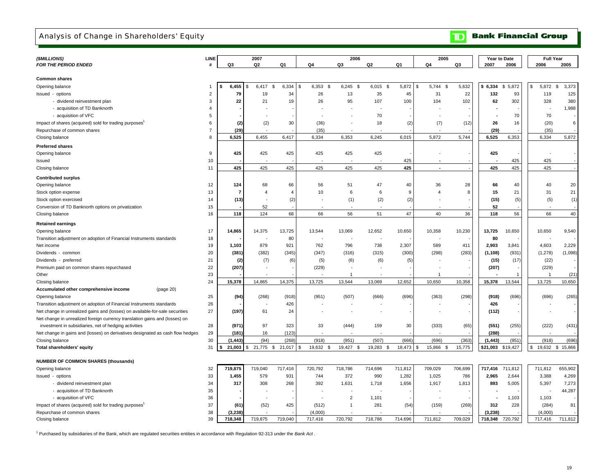## Analysis of Change in Shareholders' Equity

**Bank Financial Group**  $\mathbf{D}$ 

| (\$MILLIONS)                                                                   | <b>LINE</b>    |          | 2007            |                |                     | 2006              |                   |         | 2005           |         | <b>Year to Date</b> |             | <b>Full Year</b> |                   |
|--------------------------------------------------------------------------------|----------------|----------|-----------------|----------------|---------------------|-------------------|-------------------|---------|----------------|---------|---------------------|-------------|------------------|-------------------|
| FOR THE PERIOD ENDED                                                           | #              | Q3       | Q2              | Q1             | Q4                  | Q3                | Q2                | Q1      | Q4             | Q3      | 2007                | 2006        | 2006             | 2005              |
|                                                                                |                |          |                 |                |                     |                   |                   |         |                |         |                     |             |                  |                   |
| <b>Common shares</b>                                                           |                |          |                 |                |                     |                   |                   |         |                |         |                     |             |                  |                   |
| Opening balance                                                                | -1             | 6,455    | 6,417<br>\$     | \$<br>6,334    | 6,353<br>- \$<br>-S | 6,245<br><b>S</b> | 6,015<br><b>S</b> | 5,872   | 5,744 \$<br>\$ | 5,632   | \$6,334             | 5,872<br>S. | \$<br>5,872      | <b>S</b><br>3,373 |
| Issued - options                                                               | $\overline{2}$ | 79       | 19              | 34             | 26                  | 13                | 35                | 45      | 31             | 22      | 132                 | 93          | 119              | 125               |
| - dividend reinvestment plan                                                   | 3              | 22       | 21              | 19             | 26                  | 95                | 107               | 100     | 104            | 102     | 62                  | 302         | 328              | 380               |
| - acquisition of TD Banknorth                                                  | $\overline{4}$ |          |                 |                |                     |                   |                   |         |                |         |                     |             |                  | 1,988             |
| - acquisition of VFC                                                           | 5              |          |                 |                |                     |                   | 70                |         |                |         |                     | 70          | 70               |                   |
| Impact of shares (acquired) sold for trading purposes'                         | 6              | (2)      | (2)             | 30             | (36)                |                   | 18                | (2)     | (7)            | (12)    | 26                  | 16          | (20)             | 6                 |
| Repurchase of common shares                                                    | $\overline{7}$ | (29)     |                 |                | (35)                |                   |                   |         |                |         | (29)                |             | (35)             |                   |
| Closing balance                                                                | 8              | 6,525    | 6,455           | 6,417          | 6,334               | 6,353             | 6,245             | 6,015   | 5,872          | 5,744   | 6,525               | 6,353       | 6,334            | 5,872             |
| <b>Preferred shares</b>                                                        |                |          |                 |                |                     |                   |                   |         |                |         |                     |             |                  |                   |
| Opening balance                                                                | 9              | 425      | 425             | 425            | 425                 | 425               | 425               |         |                |         | 425                 |             |                  |                   |
| Issued                                                                         | 10             |          |                 |                |                     |                   |                   | 425     |                |         |                     | 425         | 425              |                   |
| Closing balance                                                                | 11             | 425      | 425             | 425            | 425                 | 425               | 425               | 425     |                |         | 425                 | 425         | 425              |                   |
|                                                                                |                |          |                 |                |                     |                   |                   |         |                |         |                     |             |                  |                   |
| <b>Contributed surplus</b>                                                     |                |          |                 |                |                     |                   |                   |         |                |         |                     |             |                  |                   |
| Opening balance                                                                | 12             | 124      | 68              | 66             | 56                  | 51                | 47                | 40      | 36             | 28      | 66                  | 40          | 40               | 20                |
| Stock option expense                                                           | 13             | 7        | $\overline{4}$  | $\overline{4}$ | 10                  | 6                 | 6                 | 9       | $\overline{4}$ | 8       | 15                  | 21          | 31               | 21                |
| Stock option exercised                                                         | 14             | (13)     |                 | (2)            |                     | (1)               | (2)               | (2)     |                |         | (15)                | (5)         | (5)              | (1)               |
| Conversion of TD Banknorth options on privatization                            | 15             |          | 52              |                |                     |                   |                   |         |                |         | 52                  |             |                  |                   |
| Closing balance                                                                | 16             | 118      | 124             | 68             | 66                  | 56                | 51                | 47      | 40             | 36      | 118                 | 56          | 66               | 40                |
| <b>Retained earnings</b>                                                       |                |          |                 |                |                     |                   |                   |         |                |         |                     |             |                  |                   |
| Opening balance                                                                | 17             | 14,865   | 14,375          | 13,725         | 13,544              | 13,069            | 12,652            | 10,650  | 10,358         | 10,230  | 13,725              | 10,650      | 10,650           | 9,540             |
| Transition adjustment on adoption of Financial Instruments standards           | 18             |          |                 | 80             |                     |                   |                   |         |                |         | 80                  |             |                  |                   |
| Net income                                                                     | 19             | 1,103    | 879             | 921            | 762                 | 796               | 738               | 2,307   | 589            | 411     | 2,903               | 3,841       | 4,603            | 2,229             |
| Dividends - common                                                             | 20             | (381)    | (382)           | (345)          | (347)               | (316)             | (315)             | (300)   | (298)          | (283)   | (1, 108)            | (931)       | (1, 278)         | (1,098)           |
| Dividends - preferred                                                          | 21             | (2)      | (7)             | (6)            | (5)                 | (6)               | (6)               | (5)     |                |         | (15)                | (17)        | (22)             |                   |
| Premium paid on common shares repurchased                                      | 22             | (207)    |                 |                | (229)               |                   |                   |         |                |         | (207)               |             | (229)            |                   |
| Other                                                                          | 23             |          |                 |                |                     | $\mathbf 1$       |                   |         | $\overline{1}$ |         |                     |             | $\overline{1}$   | (21)              |
| Closing balance                                                                | 24             | 15,378   | 14,865          | 14,375         | 13,725              | 13,544            | 13,069            | 12,652  | 10,650         | 10,358  | 15,378              | 13,544      | 13,725           | 10,650            |
| Accumulated other comprehensive income<br>(page 20)                            |                |          |                 |                |                     |                   |                   |         |                |         |                     |             |                  |                   |
| Opening balance                                                                | 25             | (94)     | (268)           | (918)          | (951)               | (507)             | (666)             | (696)   | (363)          | (298)   | (918)               | (696)       | (696)            | (265)             |
| Transition adjustment on adoption of Financial Instruments standards           | 26             |          |                 | 426            |                     |                   |                   |         |                |         | 426                 |             |                  |                   |
| Net change in unrealized gains and (losses) on available-for-sale securities   | 27             | (197)    | 61              | 24             |                     |                   |                   |         |                |         | (112)               |             |                  |                   |
| Net change in unrealized foreign currency translation gains and (losses) on    |                |          |                 |                |                     |                   |                   |         |                |         |                     |             |                  |                   |
| investment in subsidiaries, net of hedging activities                          | 28             | (971)    | 97              | 323            | 33                  | (444)             | 159               | 30      | (333)          | (65)    | (551)               | (255)       | (222)            | (431)             |
| Net change in gains and (losses) on derivatives designated as cash flow hedges | 29             | (181)    | 16              | (123)          |                     |                   |                   |         |                |         | (288)               |             |                  |                   |
| Closing balance                                                                | 30             | (1, 443) | (94)            | (268)          | (918)               | (951)             | (507)             | (666)   | (696)          | (363)   | (1, 443)            | (951)       | (918)            | (696)             |
|                                                                                | 31             | 21,003   | 21,775 \$<br>\$ | 21,017         | 19,632<br>- \$      | 19,427<br>- \$    | 19,283<br>- \$    | 18,473  | \$.            | 15,775  | \$21,003            | \$19,427    | 19,632<br>\$     | \$15,866          |
| Total shareholders' equity                                                     |                |          |                 |                |                     |                   |                   |         | 15,866<br>- \$ |         |                     |             |                  |                   |
| <b>NUMBER OF COMMON SHARES (thousands)</b>                                     |                |          |                 |                |                     |                   |                   |         |                |         |                     |             |                  |                   |
| Opening balance                                                                | 32             | 719,875  | 719,040         | 717,416        | 720,792             | 718,786           | 714,696           | 711,812 | 709,029        | 706,699 | 717,416             | 711,812     | 711,812          | 655,902           |
| Issued - options                                                               | 33             | 1,455    | 579             | 931            | 744                 | 372               | 990               | 1,282   | 1,025          | 786     | 2,965               | 2,644       | 3,388            | 4,269             |
| - dividend reinvestment plan                                                   | 34             | 317      | 308             | 268            | 392                 | 1,631             | 1,718             | 1,656   | 1,917          | 1,813   | 893                 | 5,005       | 5,397            | 7,273             |
| - acquisition of TD Banknorth                                                  | 35             |          |                 |                |                     |                   |                   |         |                |         |                     |             |                  | 44,287            |
| - acquisition of VFC                                                           | 36             |          |                 |                |                     | $\overline{2}$    | 1,101             |         |                |         |                     | 1,103       | 1,103            |                   |
| Impact of shares (acquired) sold for trading purposes <sup>1</sup>             | 37             | (61)     | (52)            | 425            | (512)               |                   | 281               | (54)    | (159)          | (269)   | 312                 | 228         | (284)            | 81                |
| Repurchase of common shares                                                    | 38             | (3,238)  |                 |                | (4,000)             |                   |                   |         |                |         | (3, 238)            |             | (4,000)          |                   |
| Closing balance                                                                | 39             | 718.348  | 719,875         | 719,040        | 717,416             | 720.792           | 718.786           | 714.696 | 711.812        | 709.029 | 718,348             | 720.792     | 717,416          | 711,812           |
|                                                                                |                |          |                 |                |                     |                   |                   |         |                |         |                     |             |                  |                   |

1 Purchased by subsidiaries of the Bank, which are regulated securities entities in accordance with Regulation 92-313 under the *Bank Act* .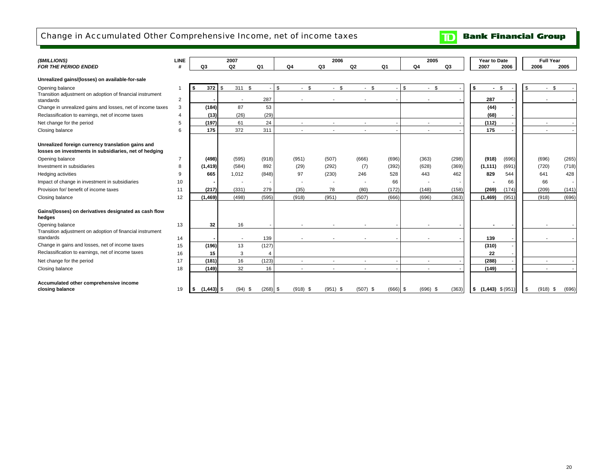# Change in Accumulated Other Comprehensive Income, net of income taxes

| (\$MILLIONS)                                                                                               | LINE                  |                      | 2007                     |                |                          | 2006                     |                          |                | 2005                     |       | Year to Date          |       |            | <b>Full Year</b> |
|------------------------------------------------------------------------------------------------------------|-----------------------|----------------------|--------------------------|----------------|--------------------------|--------------------------|--------------------------|----------------|--------------------------|-------|-----------------------|-------|------------|------------------|
| <b>FOR THE PERIOD ENDED</b>                                                                                | #                     | Q3                   | Q <sub>2</sub>           | Q <sub>1</sub> | Q4                       | Q3                       | Q <sub>2</sub>           | Q <sub>1</sub> | Q4                       | Q3    | 2007                  | 2006  | 2006       | 2005             |
| Unrealized gains/(losses) on available-for-sale                                                            |                       |                      |                          |                |                          |                          |                          |                |                          |       |                       |       |            |                  |
| Opening balance                                                                                            | -1                    | 372<br>- 56          | 311 \$<br>\$.            |                | \$<br>$-$ \$             | $-$ \$                   | - \$<br>$\sim$           |                | \$<br>$-$ \$             |       | \$<br>$\sim$          | \$    | \$         | $-$ \$           |
| Transition adjustment on adoption of financial instrument<br>standards                                     | $\overline{2}$        |                      | $\overline{\phantom{a}}$ | 287            |                          |                          |                          |                |                          |       | 287                   |       |            |                  |
| Change in unrealized gains and losses, net of income taxes                                                 | 3                     | (184)                | 87                       | 53             |                          |                          |                          |                |                          |       | (44)                  |       |            |                  |
| Reclassification to earnings, net of income taxes                                                          | $\boldsymbol{\Delta}$ | (13)                 | (26)                     | (29)           |                          |                          |                          |                |                          |       | (68)                  |       |            |                  |
| Net change for the period                                                                                  | 5                     | (197)                | 61                       | 24             | $\overline{a}$           | $\sim$                   | $\overline{\phantom{a}}$ |                | $\sim$                   |       | (112)                 |       | $\sim$     |                  |
| Closing balance                                                                                            | 6                     | 175                  | 372                      | 311            | $\overline{\phantom{a}}$ | $\overline{\phantom{a}}$ |                          |                | $\overline{\phantom{a}}$ |       | 175                   |       |            |                  |
| Unrealized foreign currency translation gains and<br>losses on investments in subsidiaries, net of hedging |                       |                      |                          |                |                          |                          |                          |                |                          |       |                       |       |            |                  |
| Opening balance                                                                                            | $\overline{7}$        | (498)                | (595)                    | (918)          | (951)                    | (507)                    | (666)                    | (696)          | (363)                    | (298) | (918)                 | (696) | (696)      | (265)            |
| Investment in subsidiaries                                                                                 | 8                     | (1, 419)             | (584)                    | 892            | (29)                     | (292)                    | (7)                      | (392)          | (628)                    | (369) | (1, 111)              | (691) | (720)      | (718)            |
| Hedging activities                                                                                         | 9                     | 665                  | 1,012                    | (848)          | 97                       | (230)                    | 246                      | 528            | 443                      | 462   | 829                   | 544   | 641        | 428              |
| Impact of change in investment in subsidiaries                                                             | 10                    |                      |                          |                |                          |                          |                          | 66             |                          |       |                       | 66    | 66         |                  |
| Provision for/ benefit of income taxes                                                                     | 11                    | (217)                | (331)                    | 279            | (35)                     | 78                       | (80)                     | (172)          | (148)                    | (158) | (269)                 | (174) | (209)      | (141)            |
| Closing balance                                                                                            | 12                    | (1, 469)             | (498)                    | (595)          | (918)                    | (951)                    | (507)                    | (666)          | (696)                    | (363) | (1, 469)              | (951) | (918)      | (696)            |
| Gains/(losses) on derivatives designated as cash flow<br>hedges                                            |                       |                      |                          |                |                          |                          |                          |                |                          |       |                       |       |            |                  |
| Opening balance                                                                                            | 13                    | 32                   | 16                       |                |                          |                          |                          |                |                          |       |                       |       |            |                  |
| Transition adjustment on adoption of financial instrument<br>standards                                     | 14                    |                      | $\overline{\phantom{a}}$ | 139            |                          |                          |                          |                | $\overline{\phantom{a}}$ |       | 139                   |       |            |                  |
| Change in gains and losses, net of income taxes                                                            | 15                    | (196)                | 13                       | (127)          |                          |                          |                          |                |                          |       | (310)                 |       |            |                  |
| Reclassification to earnings, net of income taxes                                                          | 16                    | 15                   | 3                        | 4              |                          |                          |                          |                |                          |       | 22                    |       |            |                  |
| Net change for the period                                                                                  | 17                    | (181)                | 16                       | (123)          |                          |                          |                          |                | $\overline{\phantom{a}}$ |       | (288)                 |       |            |                  |
| Closing balance                                                                                            | 18                    | (149)                | 32                       | 16             |                          |                          |                          |                |                          |       | (149)                 |       |            |                  |
| Accumulated other comprehensive income<br>closing balance                                                  | 19                    | $(1, 443)$ \$<br>- 5 | $(94)$ \$                | $(268)$ \$     | $(918)$ \$               | $(951)$ \$               | $(507)$ \$               | $(666)$ \$     | $(696)$ \$               | (363) | $$$ (1,443) $$$ (951) |       | $(918)$ \$ | (696)            |

**TD** Bank Financial Group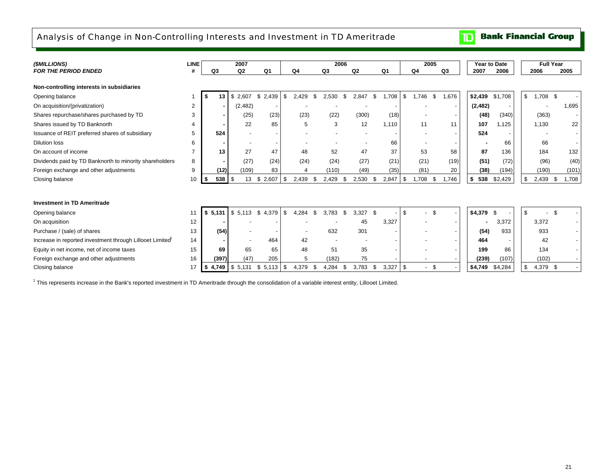# Analysis of Change in Non-Controlling Interests and Investment in TD Ameritrade

**Bank Financial Group**  $\mathbf{D}$ 

| (SMILLIONS)                                                           | <b>LINE</b> |           | 2007           |                |      |                |     | 2006         |       |      |                |     | 2005                           |                          | Year to Date |         | <b>Full Year</b> |              |
|-----------------------------------------------------------------------|-------------|-----------|----------------|----------------|------|----------------|-----|--------------|-------|------|----------------|-----|--------------------------------|--------------------------|--------------|---------|------------------|--------------|
| <b>FOR THE PERIOD ENDED</b>                                           |             | Q3        | Q <sub>2</sub> | Q <sub>1</sub> |      | Q <sub>4</sub> |     | Q3           | Q2    |      | Q <sub>1</sub> |     | Q4                             | Q3                       | 2007         | 2006    | 2006             | 2005         |
| Non-controlling interests in subsidiaries                             |             |           |                |                |      |                |     |              |       |      |                |     |                                |                          |              |         |                  |              |
| Opening balance                                                       |             | 13        | \$2,607        | \$2,439        | - \$ | 2,429          | \$. | 2,530<br>\$  | 2,847 | \$   | 1,708          | \$  | 1,746<br>- \$                  | 1,676                    | \$2,439      | \$1,708 | $$1,708$ \$      |              |
| On acquisition/(privatization)                                        | 2           |           | (2,482)        |                |      |                |     |              |       |      |                |     |                                | $\overline{\phantom{a}}$ | (2, 482)     |         |                  | 1,695        |
| Shares repurchase/shares purchased by TD                              | 3           |           | (25)           | (23)           |      | (23)           |     | (22)         | (300) |      | (18)           |     |                                |                          | (48)         | (340)   | (363)            |              |
| Shares issued by TD Banknorth                                         | 4           |           | 22             | 85             |      | 5              |     | 3            |       | 12   | 1,110          |     | 11                             | 11                       | 107          | 1,125   | 1,130            | 22           |
| Issuance of REIT preferred shares of subsidiary                       | 5           | 524       |                |                |      |                |     |              |       |      |                |     |                                |                          | 524          |         |                  |              |
| <b>Dilution loss</b>                                                  | 6           |           |                |                |      |                |     |              |       |      | 66             |     |                                |                          |              | 66      | 66               |              |
| On account of income                                                  |             | 13        | 27             | 47             |      | 48             |     | 52           |       | 47   | 37             |     | 53                             | 58                       | 87           | 136     | 184              | 132          |
| Dividends paid by TD Banknorth to minority shareholders               | 8           |           | (27)           | (24)           |      | (24)           |     | (24)         |       | (27) | (21)           |     | (21)                           | (19)                     | (51)         | (72)    | (96)             | (40)         |
| Foreign exchange and other adjustments                                | 9           | (12)      | (109)          | 83             |      |                |     | (110)        |       | (49) | (35)           |     | (81)                           | 20                       | (38)         | (194)   | (190)            | (101)        |
| Closing balance                                                       | 10          | 538<br>£. | \$<br>13       | 2,607<br>\$    | \$   | 2,439          | S   | 2,429<br>\$  | 2,530 | \$   | 2,847          | -\$ | 1,708<br>\$                    | 1,746                    | \$<br>538    | \$2,429 | \$<br>2,439      | -\$<br>1,708 |
|                                                                       |             |           |                |                |      |                |     |              |       |      |                |     |                                |                          |              |         |                  |              |
| <b>Investment in TD Ameritrade</b>                                    |             |           |                |                |      |                |     |              |       |      |                |     |                                |                          |              |         |                  |              |
| Opening balance                                                       | 11          | \$5.131   | \$5,113        | \$<br>4,379    | - \$ | 4.284          | \$  | 3.783<br>\$. | 3,327 | - \$ |                | \$  | \$<br>$\overline{a}$           |                          | $$4,379$ \$  |         | \$               |              |
| On acquisition                                                        | 12          |           |                |                |      |                |     |              |       | 45   | 3,327          |     |                                |                          |              | 3,372   | 3,372            |              |
| Purchase / (sale) of shares                                           | 13          | (54)      |                |                |      |                |     | 632          | 301   |      |                |     |                                |                          | (54)         | 933     | 933              |              |
| Increase in reported investment through Lillooet Limited <sup>1</sup> | 14          |           |                | 464            |      | 42             |     |              |       |      |                |     |                                |                          | 464          |         | 42               |              |
| Equity in net income, net of income taxes                             | 15          | 69        | 65             | 65             |      | 48             |     | 51           |       | 35   |                |     |                                |                          | 199          | 86      | 134              |              |
| Foreign exchange and other adjustments                                | 16          | (397)     | (47)           | 205            |      | 5              |     | (182)        |       | 75   |                |     |                                |                          | (239)        | (107)   | (102)            |              |
| Closing balance                                                       | 17          | \$        | 4,749 \$ 5,131 | \$<br>5,113    | -\$  | 4,379          |     | 4,284<br>\$  | 3,783 | \$   | 3,327          | -\$ | \$<br>$\overline{\phantom{a}}$ |                          | \$4,749      | \$4,284 | \$<br>4,379 \$   |              |

<sup>1</sup> This represents increase in the Bank's reported investment in TD Ameritrade through the consolidation of a variable interest entity, Lillooet Limited.